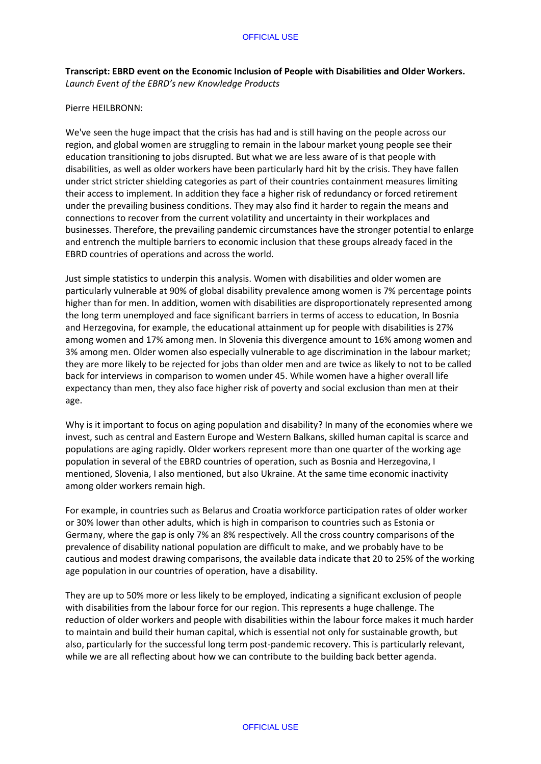**Transcript: EBRD event on the Economic Inclusion of People with Disabilities and Older Workers.**  *Launch Event of the EBRD's new Knowledge Products*

# Pierre HEILBRONN:

We've seen the huge impact that the crisis has had and is still having on the people across our region, and global women are struggling to remain in the labour market young people see their education transitioning to jobs disrupted. But what we are less aware of is that people with disabilities, as well as older workers have been particularly hard hit by the crisis. They have fallen under strict stricter shielding categories as part of their countries containment measures limiting their access to implement. In addition they face a higher risk of redundancy or forced retirement under the prevailing business conditions. They may also find it harder to regain the means and connections to recover from the current volatility and uncertainty in their workplaces and businesses. Therefore, the prevailing pandemic circumstances have the stronger potential to enlarge and entrench the multiple barriers to economic inclusion that these groups already faced in the EBRD countries of operations and across the world.

Just simple statistics to underpin this analysis. Women with disabilities and older women are particularly vulnerable at 90% of global disability prevalence among women is 7% percentage points higher than for men. In addition, women with disabilities are disproportionately represented among the long term unemployed and face significant barriers in terms of access to education, In Bosnia and Herzegovina, for example, the educational attainment up for people with disabilities is 27% among women and 17% among men. In Slovenia this divergence amount to 16% among women and 3% among men. Older women also especially vulnerable to age discrimination in the labour market; they are more likely to be rejected for jobs than older men and are twice as likely to not to be called back for interviews in comparison to women under 45. While women have a higher overall life expectancy than men, they also face higher risk of poverty and social exclusion than men at their age.

Why is it important to focus on aging population and disability? In many of the economies where we invest, such as central and Eastern Europe and Western Balkans, skilled human capital is scarce and populations are aging rapidly. Older workers represent more than one quarter of the working age population in several of the EBRD countries of operation, such as Bosnia and Herzegovina, I mentioned, Slovenia, I also mentioned, but also Ukraine. At the same time economic inactivity among older workers remain high.

For example, in countries such as Belarus and Croatia workforce participation rates of older worker or 30% lower than other adults, which is high in comparison to countries such as Estonia or Germany, where the gap is only 7% an 8% respectively. All the cross country comparisons of the prevalence of disability national population are difficult to make, and we probably have to be cautious and modest drawing comparisons, the available data indicate that 20 to 25% of the working age population in our countries of operation, have a disability.

They are up to 50% more or less likely to be employed, indicating a significant exclusion of people with disabilities from the labour force for our region. This represents a huge challenge. The reduction of older workers and people with disabilities within the labour force makes it much harder to maintain and build their human capital, which is essential not only for sustainable growth, but also, particularly for the successful long term post-pandemic recovery. This is particularly relevant, while we are all reflecting about how we can contribute to the building back better agenda.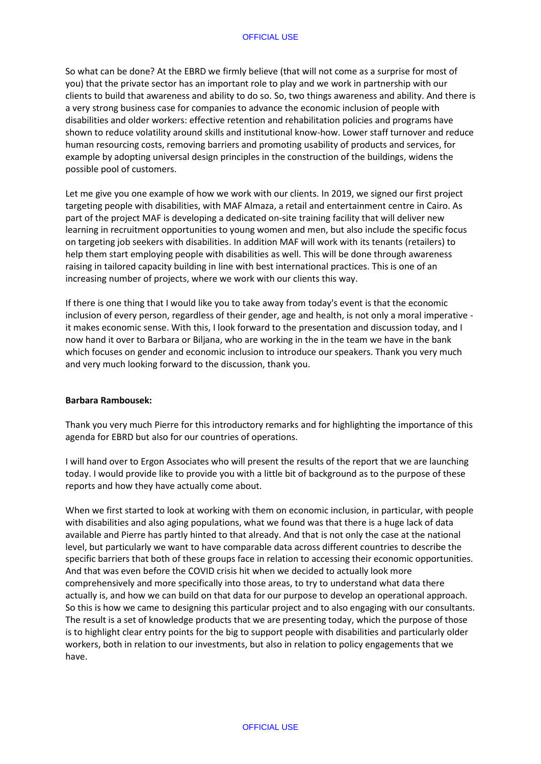So what can be done? At the EBRD we firmly believe (that will not come as a surprise for most of you) that the private sector has an important role to play and we work in partnership with our clients to build that awareness and ability to do so. So, two things awareness and ability. And there is a very strong business case for companies to advance the economic inclusion of people with disabilities and older workers: effective retention and rehabilitation policies and programs have shown to reduce volatility around skills and institutional know-how. Lower staff turnover and reduce human resourcing costs, removing barriers and promoting usability of products and services, for example by adopting universal design principles in the construction of the buildings, widens the possible pool of customers.

Let me give you one example of how we work with our clients. In 2019, we signed our first project targeting people with disabilities, with MAF Almaza, a retail and entertainment centre in Cairo. As part of the project MAF is developing a dedicated on-site training facility that will deliver new learning in recruitment opportunities to young women and men, but also include the specific focus on targeting job seekers with disabilities. In addition MAF will work with its tenants (retailers) to help them start employing people with disabilities as well. This will be done through awareness raising in tailored capacity building in line with best international practices. This is one of an increasing number of projects, where we work with our clients this way.

If there is one thing that I would like you to take away from today's event is that the economic inclusion of every person, regardless of their gender, age and health, is not only a moral imperative it makes economic sense. With this, I look forward to the presentation and discussion today, and I now hand it over to Barbara or Biljana, who are working in the in the team we have in the bank which focuses on gender and economic inclusion to introduce our speakers. Thank you very much and very much looking forward to the discussion, thank you.

### **Barbara Rambousek:**

Thank you very much Pierre for this introductory remarks and for highlighting the importance of this agenda for EBRD but also for our countries of operations.

I will hand over to Ergon Associates who will present the results of the report that we are launching today. I would provide like to provide you with a little bit of background as to the purpose of these reports and how they have actually come about.

When we first started to look at working with them on economic inclusion, in particular, with people with disabilities and also aging populations, what we found was that there is a huge lack of data available and Pierre has partly hinted to that already. And that is not only the case at the national level, but particularly we want to have comparable data across different countries to describe the specific barriers that both of these groups face in relation to accessing their economic opportunities. And that was even before the COVID crisis hit when we decided to actually look more comprehensively and more specifically into those areas, to try to understand what data there actually is, and how we can build on that data for our purpose to develop an operational approach. So this is how we came to designing this particular project and to also engaging with our consultants. The result is a set of knowledge products that we are presenting today, which the purpose of those is to highlight clear entry points for the big to support people with disabilities and particularly older workers, both in relation to our investments, but also in relation to policy engagements that we have.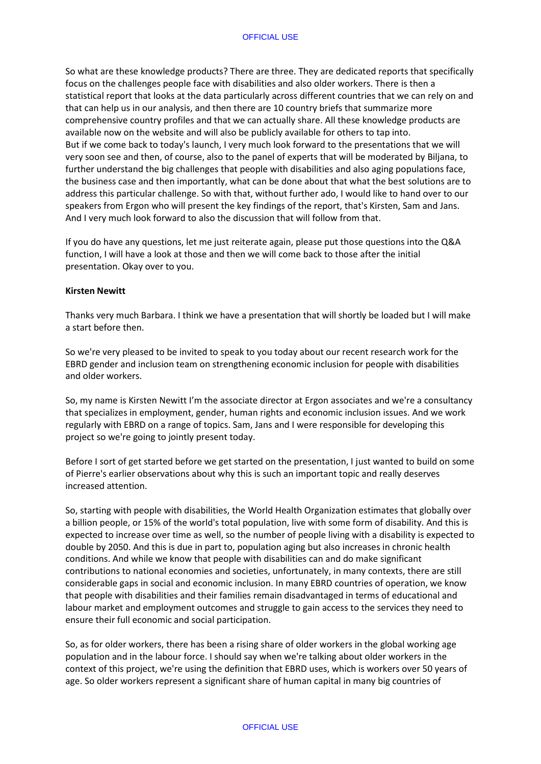So what are these knowledge products? There are three. They are dedicated reports that specifically focus on the challenges people face with disabilities and also older workers. There is then a statistical report that looks at the data particularly across different countries that we can rely on and that can help us in our analysis, and then there are 10 country briefs that summarize more comprehensive country profiles and that we can actually share. All these knowledge products are available now on the website and will also be publicly available for others to tap into. But if we come back to today's launch, I very much look forward to the presentations that we will very soon see and then, of course, also to the panel of experts that will be moderated by Biljana, to further understand the big challenges that people with disabilities and also aging populations face, the business case and then importantly, what can be done about that what the best solutions are to address this particular challenge. So with that, without further ado, I would like to hand over to our speakers from Ergon who will present the key findings of the report, that's Kirsten, Sam and Jans. And I very much look forward to also the discussion that will follow from that.

If you do have any questions, let me just reiterate again, please put those questions into the Q&A function, I will have a look at those and then we will come back to those after the initial presentation. Okay over to you.

#### **Kirsten Newitt**

Thanks very much Barbara. I think we have a presentation that will shortly be loaded but I will make a start before then.

So we're very pleased to be invited to speak to you today about our recent research work for the EBRD gender and inclusion team on strengthening economic inclusion for people with disabilities and older workers.

So, my name is Kirsten Newitt I'm the associate director at Ergon associates and we're a consultancy that specializes in employment, gender, human rights and economic inclusion issues. And we work regularly with EBRD on a range of topics. Sam, Jans and I were responsible for developing this project so we're going to jointly present today.

Before I sort of get started before we get started on the presentation, I just wanted to build on some of Pierre's earlier observations about why this is such an important topic and really deserves increased attention.

So, starting with people with disabilities, the World Health Organization estimates that globally over a billion people, or 15% of the world's total population, live with some form of disability. And this is expected to increase over time as well, so the number of people living with a disability is expected to double by 2050. And this is due in part to, population aging but also increases in chronic health conditions. And while we know that people with disabilities can and do make significant contributions to national economies and societies, unfortunately, in many contexts, there are still considerable gaps in social and economic inclusion. In many EBRD countries of operation, we know that people with disabilities and their families remain disadvantaged in terms of educational and labour market and employment outcomes and struggle to gain access to the services they need to ensure their full economic and social participation.

So, as for older workers, there has been a rising share of older workers in the global working age population and in the labour force. I should say when we're talking about older workers in the context of this project, we're using the definition that EBRD uses, which is workers over 50 years of age. So older workers represent a significant share of human capital in many big countries of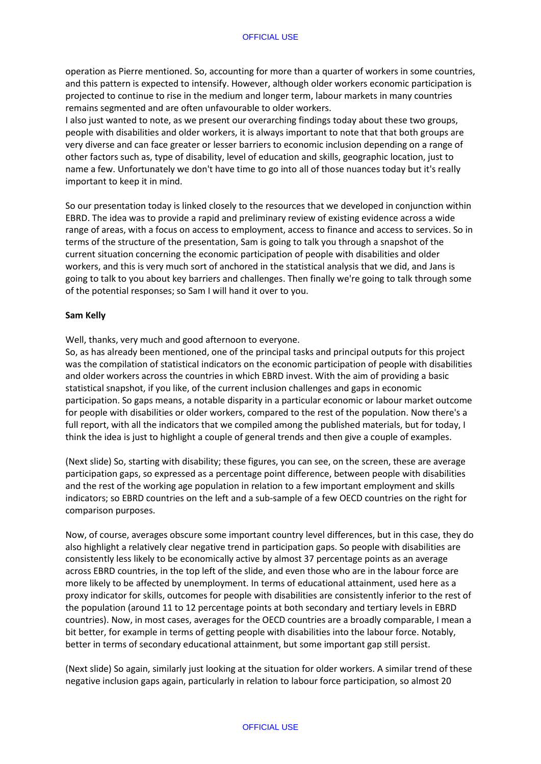operation as Pierre mentioned. So, accounting for more than a quarter of workers in some countries, and this pattern is expected to intensify. However, although older workers economic participation is projected to continue to rise in the medium and longer term, labour markets in many countries remains segmented and are often unfavourable to older workers.

I also just wanted to note, as we present our overarching findings today about these two groups, people with disabilities and older workers, it is always important to note that that both groups are very diverse and can face greater or lesser barriers to economic inclusion depending on a range of other factors such as, type of disability, level of education and skills, geographic location, just to name a few. Unfortunately we don't have time to go into all of those nuances today but it's really important to keep it in mind.

So our presentation today is linked closely to the resources that we developed in conjunction within EBRD. The idea was to provide a rapid and preliminary review of existing evidence across a wide range of areas, with a focus on access to employment, access to finance and access to services. So in terms of the structure of the presentation, Sam is going to talk you through a snapshot of the current situation concerning the economic participation of people with disabilities and older workers, and this is very much sort of anchored in the statistical analysis that we did, and Jans is going to talk to you about key barriers and challenges. Then finally we're going to talk through some of the potential responses; so Sam I will hand it over to you.

### **Sam Kelly**

Well, thanks, very much and good afternoon to everyone.

So, as has already been mentioned, one of the principal tasks and principal outputs for this project was the compilation of statistical indicators on the economic participation of people with disabilities and older workers across the countries in which EBRD invest. With the aim of providing a basic statistical snapshot, if you like, of the current inclusion challenges and gaps in economic participation. So gaps means, a notable disparity in a particular economic or labour market outcome for people with disabilities or older workers, compared to the rest of the population. Now there's a full report, with all the indicators that we compiled among the published materials, but for today, I think the idea is just to highlight a couple of general trends and then give a couple of examples.

(Next slide) So, starting with disability; these figures, you can see, on the screen, these are average participation gaps, so expressed as a percentage point difference, between people with disabilities and the rest of the working age population in relation to a few important employment and skills indicators; so EBRD countries on the left and a sub-sample of a few OECD countries on the right for comparison purposes.

Now, of course, averages obscure some important country level differences, but in this case, they do also highlight a relatively clear negative trend in participation gaps. So people with disabilities are consistently less likely to be economically active by almost 37 percentage points as an average across EBRD countries, in the top left of the slide, and even those who are in the labour force are more likely to be affected by unemployment. In terms of educational attainment, used here as a proxy indicator for skills, outcomes for people with disabilities are consistently inferior to the rest of the population (around 11 to 12 percentage points at both secondary and tertiary levels in EBRD countries). Now, in most cases, averages for the OECD countries are a broadly comparable, I mean a bit better, for example in terms of getting people with disabilities into the labour force. Notably, better in terms of secondary educational attainment, but some important gap still persist.

(Next slide) So again, similarly just looking at the situation for older workers. A similar trend of these negative inclusion gaps again, particularly in relation to labour force participation, so almost 20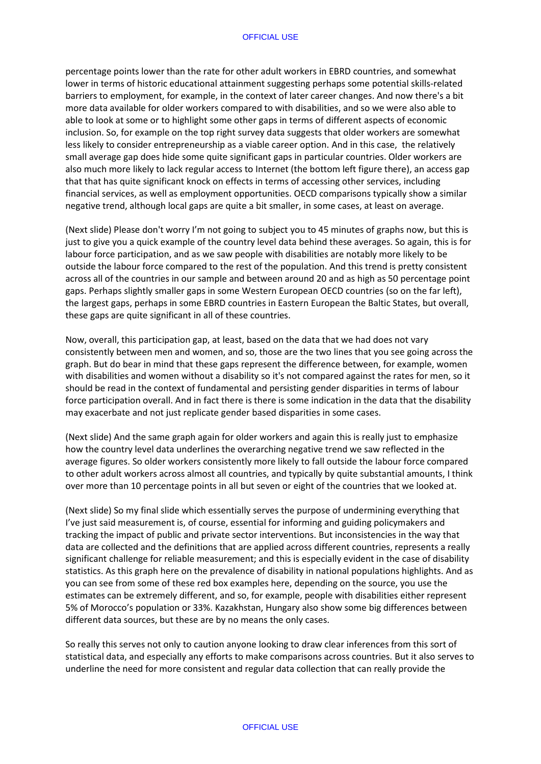#### OFFICIAL USE

percentage points lower than the rate for other adult workers in EBRD countries, and somewhat lower in terms of historic educational attainment suggesting perhaps some potential skills-related barriers to employment, for example, in the context of later career changes. And now there's a bit more data available for older workers compared to with disabilities, and so we were also able to able to look at some or to highlight some other gaps in terms of different aspects of economic inclusion. So, for example on the top right survey data suggests that older workers are somewhat less likely to consider entrepreneurship as a viable career option. And in this case, the relatively small average gap does hide some quite significant gaps in particular countries. Older workers are also much more likely to lack regular access to Internet (the bottom left figure there), an access gap that that has quite significant knock on effects in terms of accessing other services, including financial services, as well as employment opportunities. OECD comparisons typically show a similar negative trend, although local gaps are quite a bit smaller, in some cases, at least on average.

(Next slide) Please don't worry I'm not going to subject you to 45 minutes of graphs now, but this is just to give you a quick example of the country level data behind these averages. So again, this is for labour force participation, and as we saw people with disabilities are notably more likely to be outside the labour force compared to the rest of the population. And this trend is pretty consistent across all of the countries in our sample and between around 20 and as high as 50 percentage point gaps. Perhaps slightly smaller gaps in some Western European OECD countries (so on the far left), the largest gaps, perhaps in some EBRD countries in Eastern European the Baltic States, but overall, these gaps are quite significant in all of these countries.

Now, overall, this participation gap, at least, based on the data that we had does not vary consistently between men and women, and so, those are the two lines that you see going across the graph. But do bear in mind that these gaps represent the difference between, for example, women with disabilities and women without a disability so it's not compared against the rates for men, so it should be read in the context of fundamental and persisting gender disparities in terms of labour force participation overall. And in fact there is there is some indication in the data that the disability may exacerbate and not just replicate gender based disparities in some cases.

(Next slide) And the same graph again for older workers and again this is really just to emphasize how the country level data underlines the overarching negative trend we saw reflected in the average figures. So older workers consistently more likely to fall outside the labour force compared to other adult workers across almost all countries, and typically by quite substantial amounts, I think over more than 10 percentage points in all but seven or eight of the countries that we looked at.

(Next slide) So my final slide which essentially serves the purpose of undermining everything that I've just said measurement is, of course, essential for informing and guiding policymakers and tracking the impact of public and private sector interventions. But inconsistencies in the way that data are collected and the definitions that are applied across different countries, represents a really significant challenge for reliable measurement; and this is especially evident in the case of disability statistics. As this graph here on the prevalence of disability in national populations highlights. And as you can see from some of these red box examples here, depending on the source, you use the estimates can be extremely different, and so, for example, people with disabilities either represent 5% of Morocco's population or 33%. Kazakhstan, Hungary also show some big differences between different data sources, but these are by no means the only cases.

So really this serves not only to caution anyone looking to draw clear inferences from this sort of statistical data, and especially any efforts to make comparisons across countries. But it also serves to underline the need for more consistent and regular data collection that can really provide the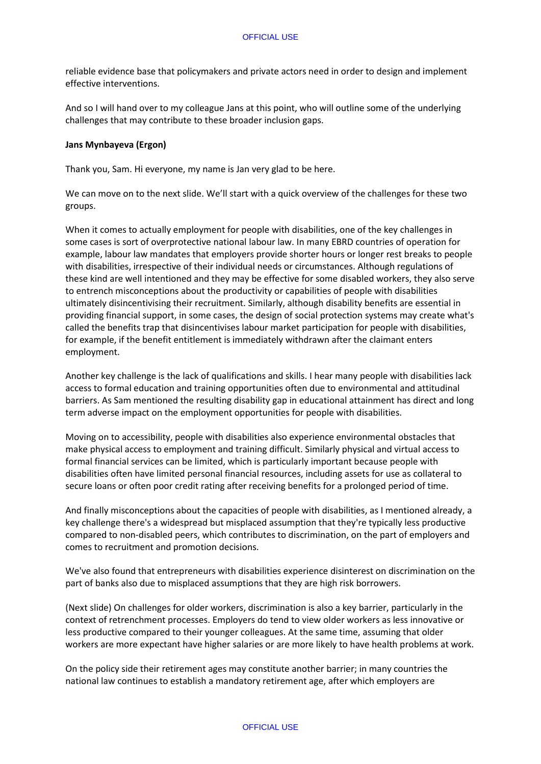reliable evidence base that policymakers and private actors need in order to design and implement effective interventions.

And so I will hand over to my colleague Jans at this point, who will outline some of the underlying challenges that may contribute to these broader inclusion gaps.

### **Jans Mynbayeva (Ergon)**

Thank you, Sam. Hi everyone, my name is Jan very glad to be here.

We can move on to the next slide. We'll start with a quick overview of the challenges for these two groups.

When it comes to actually employment for people with disabilities, one of the key challenges in some cases is sort of overprotective national labour law. In many EBRD countries of operation for example, labour law mandates that employers provide shorter hours or longer rest breaks to people with disabilities, irrespective of their individual needs or circumstances. Although regulations of these kind are well intentioned and they may be effective for some disabled workers, they also serve to entrench misconceptions about the productivity or capabilities of people with disabilities ultimately disincentivising their recruitment. Similarly, although disability benefits are essential in providing financial support, in some cases, the design of social protection systems may create what's called the benefits trap that disincentivises labour market participation for people with disabilities, for example, if the benefit entitlement is immediately withdrawn after the claimant enters employment.

Another key challenge is the lack of qualifications and skills. I hear many people with disabilities lack access to formal education and training opportunities often due to environmental and attitudinal barriers. As Sam mentioned the resulting disability gap in educational attainment has direct and long term adverse impact on the employment opportunities for people with disabilities.

Moving on to accessibility, people with disabilities also experience environmental obstacles that make physical access to employment and training difficult. Similarly physical and virtual access to formal financial services can be limited, which is particularly important because people with disabilities often have limited personal financial resources, including assets for use as collateral to secure loans or often poor credit rating after receiving benefits for a prolonged period of time.

And finally misconceptions about the capacities of people with disabilities, as I mentioned already, a key challenge there's a widespread but misplaced assumption that they're typically less productive compared to non-disabled peers, which contributes to discrimination, on the part of employers and comes to recruitment and promotion decisions.

We've also found that entrepreneurs with disabilities experience disinterest on discrimination on the part of banks also due to misplaced assumptions that they are high risk borrowers.

(Next slide) On challenges for older workers, discrimination is also a key barrier, particularly in the context of retrenchment processes. Employers do tend to view older workers as less innovative or less productive compared to their younger colleagues. At the same time, assuming that older workers are more expectant have higher salaries or are more likely to have health problems at work.

On the policy side their retirement ages may constitute another barrier; in many countries the national law continues to establish a mandatory retirement age, after which employers are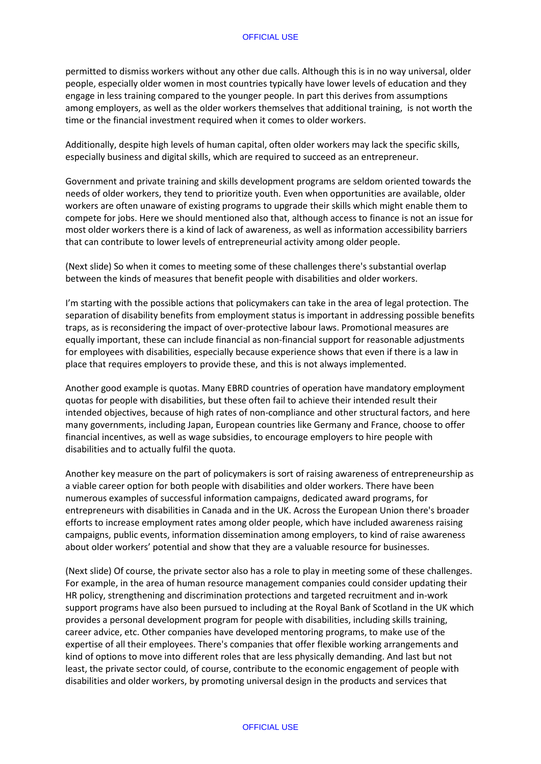permitted to dismiss workers without any other due calls. Although this is in no way universal, older people, especially older women in most countries typically have lower levels of education and they engage in less training compared to the younger people. In part this derives from assumptions among employers, as well as the older workers themselves that additional training, is not worth the time or the financial investment required when it comes to older workers.

Additionally, despite high levels of human capital, often older workers may lack the specific skills, especially business and digital skills, which are required to succeed as an entrepreneur.

Government and private training and skills development programs are seldom oriented towards the needs of older workers, they tend to prioritize youth. Even when opportunities are available, older workers are often unaware of existing programs to upgrade their skills which might enable them to compete for jobs. Here we should mentioned also that, although access to finance is not an issue for most older workers there is a kind of lack of awareness, as well as information accessibility barriers that can contribute to lower levels of entrepreneurial activity among older people.

(Next slide) So when it comes to meeting some of these challenges there's substantial overlap between the kinds of measures that benefit people with disabilities and older workers.

I'm starting with the possible actions that policymakers can take in the area of legal protection. The separation of disability benefits from employment status is important in addressing possible benefits traps, as is reconsidering the impact of over-protective labour laws. Promotional measures are equally important, these can include financial as non-financial support for reasonable adjustments for employees with disabilities, especially because experience shows that even if there is a law in place that requires employers to provide these, and this is not always implemented.

Another good example is quotas. Many EBRD countries of operation have mandatory employment quotas for people with disabilities, but these often fail to achieve their intended result their intended objectives, because of high rates of non-compliance and other structural factors, and here many governments, including Japan, European countries like Germany and France, choose to offer financial incentives, as well as wage subsidies, to encourage employers to hire people with disabilities and to actually fulfil the quota.

Another key measure on the part of policymakers is sort of raising awareness of entrepreneurship as a viable career option for both people with disabilities and older workers. There have been numerous examples of successful information campaigns, dedicated award programs, for entrepreneurs with disabilities in Canada and in the UK. Across the European Union there's broader efforts to increase employment rates among older people, which have included awareness raising campaigns, public events, information dissemination among employers, to kind of raise awareness about older workers' potential and show that they are a valuable resource for businesses.

(Next slide) Of course, the private sector also has a role to play in meeting some of these challenges. For example, in the area of human resource management companies could consider updating their HR policy, strengthening and discrimination protections and targeted recruitment and in-work support programs have also been pursued to including at the Royal Bank of Scotland in the UK which provides a personal development program for people with disabilities, including skills training, career advice, etc. Other companies have developed mentoring programs, to make use of the expertise of all their employees. There's companies that offer flexible working arrangements and kind of options to move into different roles that are less physically demanding. And last but not least, the private sector could, of course, contribute to the economic engagement of people with disabilities and older workers, by promoting universal design in the products and services that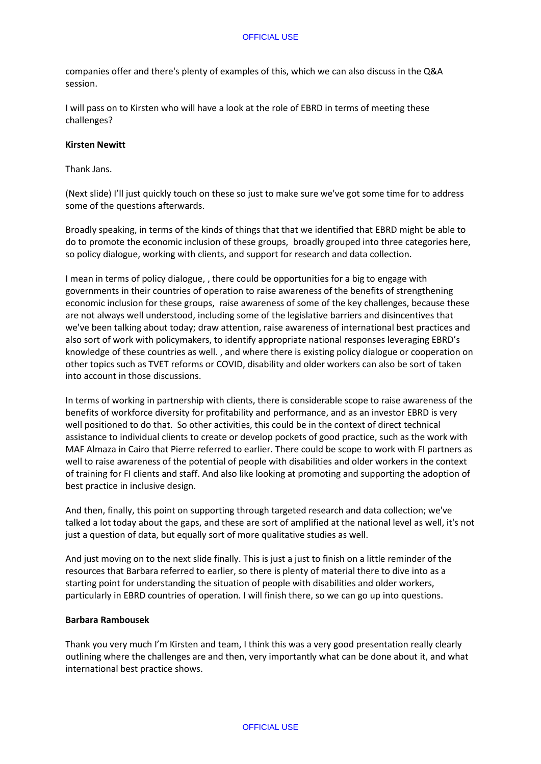companies offer and there's plenty of examples of this, which we can also discuss in the Q&A session.

I will pass on to Kirsten who will have a look at the role of EBRD in terms of meeting these challenges?

### **Kirsten Newitt**

Thank Jans.

(Next slide) I'll just quickly touch on these so just to make sure we've got some time for to address some of the questions afterwards.

Broadly speaking, in terms of the kinds of things that that we identified that EBRD might be able to do to promote the economic inclusion of these groups, broadly grouped into three categories here, so policy dialogue, working with clients, and support for research and data collection.

I mean in terms of policy dialogue, , there could be opportunities for a big to engage with governments in their countries of operation to raise awareness of the benefits of strengthening economic inclusion for these groups, raise awareness of some of the key challenges, because these are not always well understood, including some of the legislative barriers and disincentives that we've been talking about today; draw attention, raise awareness of international best practices and also sort of work with policymakers, to identify appropriate national responses leveraging EBRD's knowledge of these countries as well. , and where there is existing policy dialogue or cooperation on other topics such as TVET reforms or COVID, disability and older workers can also be sort of taken into account in those discussions.

In terms of working in partnership with clients, there is considerable scope to raise awareness of the benefits of workforce diversity for profitability and performance, and as an investor EBRD is very well positioned to do that. So other activities, this could be in the context of direct technical assistance to individual clients to create or develop pockets of good practice, such as the work with MAF Almaza in Cairo that Pierre referred to earlier. There could be scope to work with FI partners as well to raise awareness of the potential of people with disabilities and older workers in the context of training for FI clients and staff. And also like looking at promoting and supporting the adoption of best practice in inclusive design.

And then, finally, this point on supporting through targeted research and data collection; we've talked a lot today about the gaps, and these are sort of amplified at the national level as well, it's not just a question of data, but equally sort of more qualitative studies as well.

And just moving on to the next slide finally. This is just a just to finish on a little reminder of the resources that Barbara referred to earlier, so there is plenty of material there to dive into as a starting point for understanding the situation of people with disabilities and older workers, particularly in EBRD countries of operation. I will finish there, so we can go up into questions.

### **Barbara Rambousek**

Thank you very much I'm Kirsten and team, I think this was a very good presentation really clearly outlining where the challenges are and then, very importantly what can be done about it, and what international best practice shows.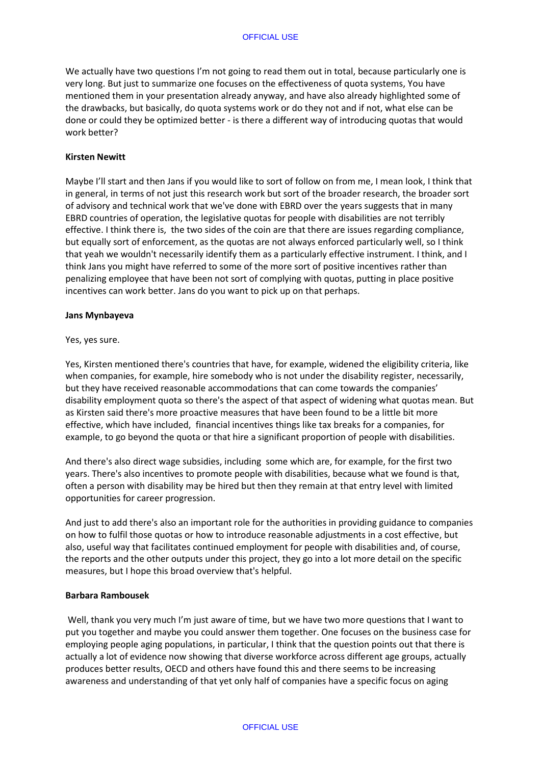We actually have two questions I'm not going to read them out in total, because particularly one is very long. But just to summarize one focuses on the effectiveness of quota systems, You have mentioned them in your presentation already anyway, and have also already highlighted some of the drawbacks, but basically, do quota systems work or do they not and if not, what else can be done or could they be optimized better - is there a different way of introducing quotas that would work better?

### **Kirsten Newitt**

Maybe I'll start and then Jans if you would like to sort of follow on from me, I mean look, I think that in general, in terms of not just this research work but sort of the broader research, the broader sort of advisory and technical work that we've done with EBRD over the years suggests that in many EBRD countries of operation, the legislative quotas for people with disabilities are not terribly effective. I think there is, the two sides of the coin are that there are issues regarding compliance, but equally sort of enforcement, as the quotas are not always enforced particularly well, so I think that yeah we wouldn't necessarily identify them as a particularly effective instrument. I think, and I think Jans you might have referred to some of the more sort of positive incentives rather than penalizing employee that have been not sort of complying with quotas, putting in place positive incentives can work better. Jans do you want to pick up on that perhaps.

### **Jans Mynbayeva**

Yes, yes sure.

Yes, Kirsten mentioned there's countries that have, for example, widened the eligibility criteria, like when companies, for example, hire somebody who is not under the disability register, necessarily, but they have received reasonable accommodations that can come towards the companies' disability employment quota so there's the aspect of that aspect of widening what quotas mean. But as Kirsten said there's more proactive measures that have been found to be a little bit more effective, which have included, financial incentives things like tax breaks for a companies, for example, to go beyond the quota or that hire a significant proportion of people with disabilities.

And there's also direct wage subsidies, including some which are, for example, for the first two years. There's also incentives to promote people with disabilities, because what we found is that, often a person with disability may be hired but then they remain at that entry level with limited opportunities for career progression.

And just to add there's also an important role for the authorities in providing guidance to companies on how to fulfil those quotas or how to introduce reasonable adjustments in a cost effective, but also, useful way that facilitates continued employment for people with disabilities and, of course, the reports and the other outputs under this project, they go into a lot more detail on the specific measures, but I hope this broad overview that's helpful.

### **Barbara Rambousek**

Well, thank you very much I'm just aware of time, but we have two more questions that I want to put you together and maybe you could answer them together. One focuses on the business case for employing people aging populations, in particular, I think that the question points out that there is actually a lot of evidence now showing that diverse workforce across different age groups, actually produces better results, OECD and others have found this and there seems to be increasing awareness and understanding of that yet only half of companies have a specific focus on aging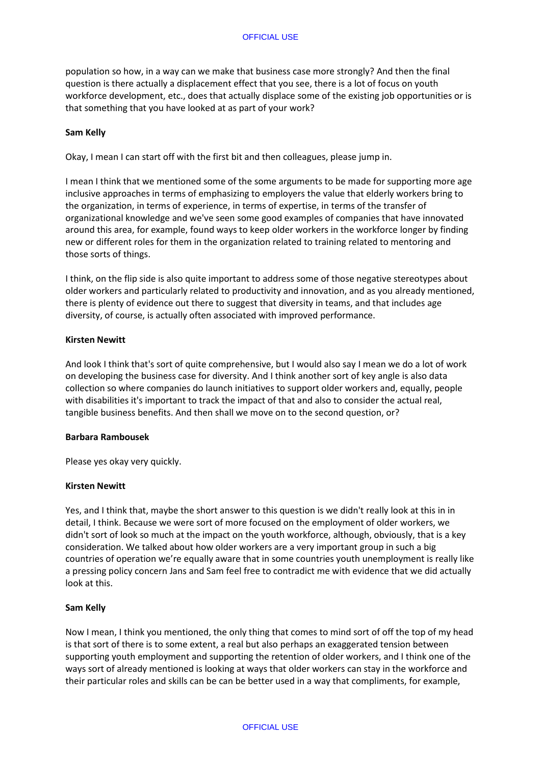population so how, in a way can we make that business case more strongly? And then the final question is there actually a displacement effect that you see, there is a lot of focus on youth workforce development, etc., does that actually displace some of the existing job opportunities or is that something that you have looked at as part of your work?

### **Sam Kelly**

Okay, I mean I can start off with the first bit and then colleagues, please jump in.

I mean I think that we mentioned some of the some arguments to be made for supporting more age inclusive approaches in terms of emphasizing to employers the value that elderly workers bring to the organization, in terms of experience, in terms of expertise, in terms of the transfer of organizational knowledge and we've seen some good examples of companies that have innovated around this area, for example, found ways to keep older workers in the workforce longer by finding new or different roles for them in the organization related to training related to mentoring and those sorts of things.

I think, on the flip side is also quite important to address some of those negative stereotypes about older workers and particularly related to productivity and innovation, and as you already mentioned, there is plenty of evidence out there to suggest that diversity in teams, and that includes age diversity, of course, is actually often associated with improved performance.

## **Kirsten Newitt**

And look I think that's sort of quite comprehensive, but I would also say I mean we do a lot of work on developing the business case for diversity. And I think another sort of key angle is also data collection so where companies do launch initiatives to support older workers and, equally, people with disabilities it's important to track the impact of that and also to consider the actual real, tangible business benefits. And then shall we move on to the second question, or?

### **Barbara Rambousek**

Please yes okay very quickly.

### **Kirsten Newitt**

Yes, and I think that, maybe the short answer to this question is we didn't really look at this in in detail, I think. Because we were sort of more focused on the employment of older workers, we didn't sort of look so much at the impact on the youth workforce, although, obviously, that is a key consideration. We talked about how older workers are a very important group in such a big countries of operation we're equally aware that in some countries youth unemployment is really like a pressing policy concern Jans and Sam feel free to contradict me with evidence that we did actually look at this.

### **Sam Kelly**

Now I mean, I think you mentioned, the only thing that comes to mind sort of off the top of my head is that sort of there is to some extent, a real but also perhaps an exaggerated tension between supporting youth employment and supporting the retention of older workers, and I think one of the ways sort of already mentioned is looking at ways that older workers can stay in the workforce and their particular roles and skills can be can be better used in a way that compliments, for example,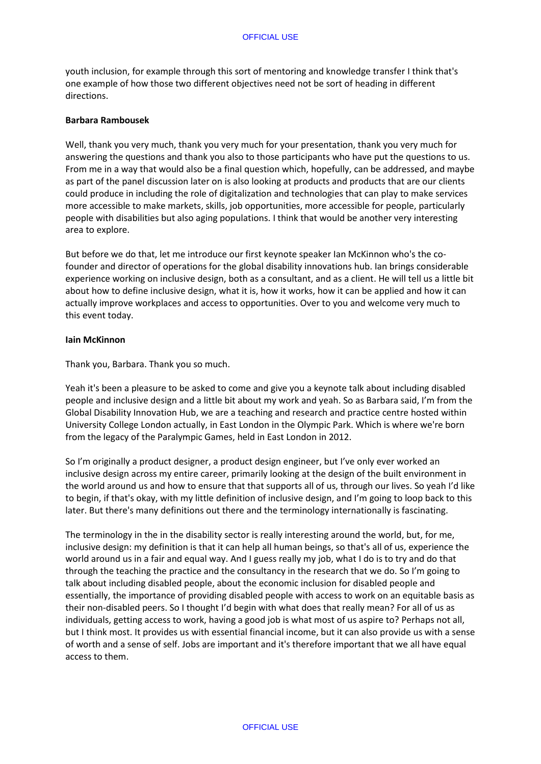youth inclusion, for example through this sort of mentoring and knowledge transfer I think that's one example of how those two different objectives need not be sort of heading in different directions.

### **Barbara Rambousek**

Well, thank you very much, thank you very much for your presentation, thank you very much for answering the questions and thank you also to those participants who have put the questions to us. From me in a way that would also be a final question which, hopefully, can be addressed, and maybe as part of the panel discussion later on is also looking at products and products that are our clients could produce in including the role of digitalization and technologies that can play to make services more accessible to make markets, skills, job opportunities, more accessible for people, particularly people with disabilities but also aging populations. I think that would be another very interesting area to explore.

But before we do that, let me introduce our first keynote speaker Ian McKinnon who's the cofounder and director of operations for the global disability innovations hub. Ian brings considerable experience working on inclusive design, both as a consultant, and as a client. He will tell us a little bit about how to define inclusive design, what it is, how it works, how it can be applied and how it can actually improve workplaces and access to opportunities. Over to you and welcome very much to this event today.

### **Iain McKinnon**

Thank you, Barbara. Thank you so much.

Yeah it's been a pleasure to be asked to come and give you a keynote talk about including disabled people and inclusive design and a little bit about my work and yeah. So as Barbara said, I'm from the Global Disability Innovation Hub, we are a teaching and research and practice centre hosted within University College London actually, in East London in the Olympic Park. Which is where we're born from the legacy of the Paralympic Games, held in East London in 2012.

So I'm originally a product designer, a product design engineer, but I've only ever worked an inclusive design across my entire career, primarily looking at the design of the built environment in the world around us and how to ensure that that supports all of us, through our lives. So yeah I'd like to begin, if that's okay, with my little definition of inclusive design, and I'm going to loop back to this later. But there's many definitions out there and the terminology internationally is fascinating.

The terminology in the in the disability sector is really interesting around the world, but, for me, inclusive design: my definition is that it can help all human beings, so that's all of us, experience the world around us in a fair and equal way. And I guess really my job, what I do is to try and do that through the teaching the practice and the consultancy in the research that we do. So I'm going to talk about including disabled people, about the economic inclusion for disabled people and essentially, the importance of providing disabled people with access to work on an equitable basis as their non-disabled peers. So I thought I'd begin with what does that really mean? For all of us as individuals, getting access to work, having a good job is what most of us aspire to? Perhaps not all, but I think most. It provides us with essential financial income, but it can also provide us with a sense of worth and a sense of self. Jobs are important and it's therefore important that we all have equal access to them.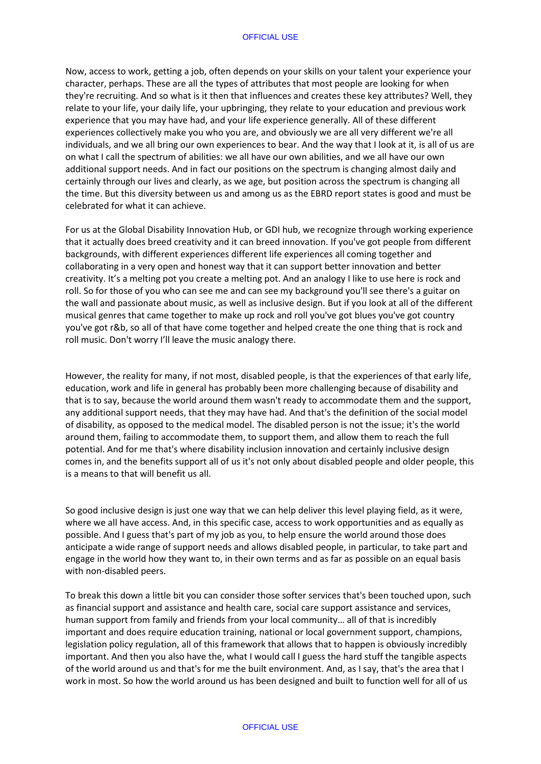#### OFFICIAL USE

Now, access to work, getting a job, often depends on your skills on your talent your experience your character, perhaps. These are all the types of attributes that most people are looking for when they're recruiting. And so what is it then that influences and creates these key attributes? Well, they relate to your life, your daily life, your upbringing, they relate to your education and previous work experience that you may have had, and your life experience generally. All of these different experiences collectively make you who you are, and obviously we are all very different we're all individuals, and we all bring our own experiences to bear. And the way that I look at it, is all of us are on what I call the spectrum of abilities: we all have our own abilities, and we all have our own additional support needs. And in fact our positions on the spectrum is changing almost daily and certainly through our lives and clearly, as we age, but position across the spectrum is changing all the time. But this diversity between us and among us as the EBRD report states is good and must be celebrated for what it can achieve.

For us at the Global Disability Innovation Hub, or GDI hub, we recognize through working experience that it actually does breed creativity and it can breed innovation. If you've got people from different backgrounds, with different experiences different life experiences all coming together and collaborating in a very open and honest way that it can support better innovation and better creativity. It's a melting pot you create a melting pot. And an analogy I like to use here is rock and roll. So for those of you who can see me and can see my background you'll see there's a guitar on the wall and passionate about music, as well as inclusive design. But if you look at all of the different musical genres that came together to make up rock and roll you've got blues you've got country you've got r&b, so all of that have come together and helped create the one thing that is rock and roll music. Don't worry I'll leave the music analogy there.

However, the reality for many, if not most, disabled people, is that the experiences of that early life, education, work and life in general has probably been more challenging because of disability and that is to say, because the world around them wasn't ready to accommodate them and the support, any additional support needs, that they may have had. And that's the definition of the social model of disability, as opposed to the medical model. The disabled person is not the issue; it's the world around them, failing to accommodate them, to support them, and allow them to reach the full potential. And for me that's where disability inclusion innovation and certainly inclusive design comes in, and the benefits support all of us it's not only about disabled people and older people, this is a means to that will benefit us all.

So good inclusive design is just one way that we can help deliver this level playing field, as it were, where we all have access. And, in this specific case, access to work opportunities and as equally as possible. And I guess that's part of my job as you, to help ensure the world around those does anticipate a wide range of support needs and allows disabled people, in particular, to take part and engage in the world how they want to, in their own terms and as far as possible on an equal basis with non-disabled peers.

To break this down a little bit you can consider those softer services that's been touched upon, such as financial support and assistance and health care, social care support assistance and services, human support from family and friends from your local community… all of that is incredibly important and does require education training, national or local government support, champions, legislation policy regulation, all of this framework that allows that to happen is obviously incredibly important. And then you also have the, what I would call I guess the hard stuff the tangible aspects of the world around us and that's for me the built environment. And, as I say, that's the area that I work in most. So how the world around us has been designed and built to function well for all of us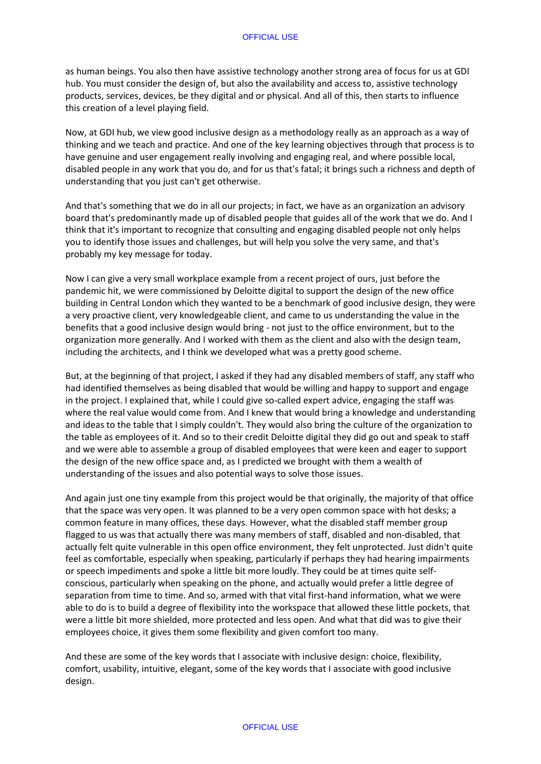as human beings. You also then have assistive technology another strong area of focus for us at GDI hub. You must consider the design of, but also the availability and access to, assistive technology products, services, devices, be they digital and or physical. And all of this, then starts to influence this creation of a level playing field.

Now, at GDI hub, we view good inclusive design as a methodology really as an approach as a way of thinking and we teach and practice. And one of the key learning objectives through that process is to have genuine and user engagement really involving and engaging real, and where possible local, disabled people in any work that you do, and for us that's fatal; it brings such a richness and depth of understanding that you just can't get otherwise.

And that's something that we do in all our projects; in fact, we have as an organization an advisory board that's predominantly made up of disabled people that guides all of the work that we do. And I think that it's important to recognize that consulting and engaging disabled people not only helps you to identify those issues and challenges, but will help you solve the very same, and that's probably my key message for today.

Now I can give a very small workplace example from a recent project of ours, just before the pandemic hit, we were commissioned by Deloitte digital to support the design of the new office building in Central London which they wanted to be a benchmark of good inclusive design, they were a very proactive client, very knowledgeable client, and came to us understanding the value in the benefits that a good inclusive design would bring - not just to the office environment, but to the organization more generally. And I worked with them as the client and also with the design team, including the architects, and I think we developed what was a pretty good scheme.

But, at the beginning of that project, I asked if they had any disabled members of staff, any staff who had identified themselves as being disabled that would be willing and happy to support and engage in the project. I explained that, while I could give so-called expert advice, engaging the staff was where the real value would come from. And I knew that would bring a knowledge and understanding and ideas to the table that I simply couldn't. They would also bring the culture of the organization to the table as employees of it. And so to their credit Deloitte digital they did go out and speak to staff and we were able to assemble a group of disabled employees that were keen and eager to support the design of the new office space and, as I predicted we brought with them a wealth of understanding of the issues and also potential ways to solve those issues.

And again just one tiny example from this project would be that originally, the majority of that office that the space was very open. It was planned to be a very open common space with hot desks; a common feature in many offices, these days. However, what the disabled staff member group flagged to us was that actually there was many members of staff, disabled and non-disabled, that actually felt quite vulnerable in this open office environment, they felt unprotected. Just didn't quite feel as comfortable, especially when speaking, particularly if perhaps they had hearing impairments or speech impediments and spoke a little bit more loudly. They could be at times quite selfconscious, particularly when speaking on the phone, and actually would prefer a little degree of separation from time to time. And so, armed with that vital first-hand information, what we were able to do is to build a degree of flexibility into the workspace that allowed these little pockets, that were a little bit more shielded, more protected and less open. And what that did was to give their employees choice, it gives them some flexibility and given comfort too many.

And these are some of the key words that I associate with inclusive design: choice, flexibility, comfort, usability, intuitive, elegant, some of the key words that I associate with good inclusive design.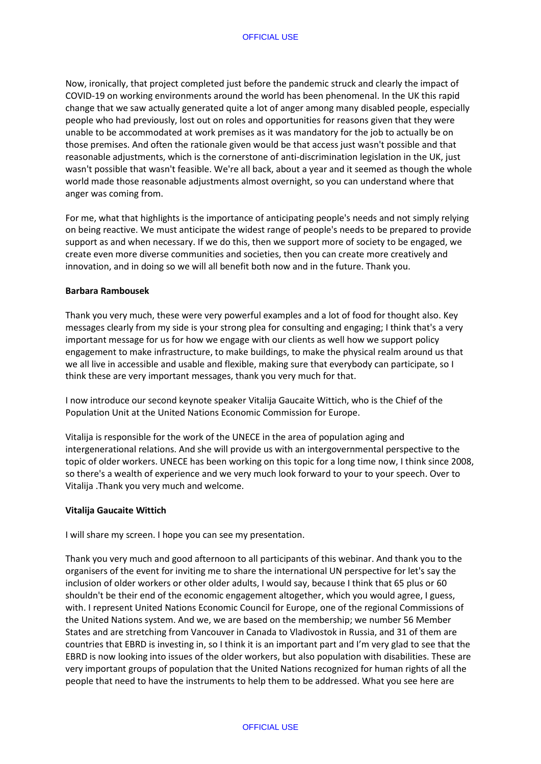Now, ironically, that project completed just before the pandemic struck and clearly the impact of COVID-19 on working environments around the world has been phenomenal. In the UK this rapid change that we saw actually generated quite a lot of anger among many disabled people, especially people who had previously, lost out on roles and opportunities for reasons given that they were unable to be accommodated at work premises as it was mandatory for the job to actually be on those premises. And often the rationale given would be that access just wasn't possible and that reasonable adjustments, which is the cornerstone of anti-discrimination legislation in the UK, just wasn't possible that wasn't feasible. We're all back, about a year and it seemed as though the whole world made those reasonable adjustments almost overnight, so you can understand where that anger was coming from.

For me, what that highlights is the importance of anticipating people's needs and not simply relying on being reactive. We must anticipate the widest range of people's needs to be prepared to provide support as and when necessary. If we do this, then we support more of society to be engaged, we create even more diverse communities and societies, then you can create more creatively and innovation, and in doing so we will all benefit both now and in the future. Thank you.

#### **Barbara Rambousek**

Thank you very much, these were very powerful examples and a lot of food for thought also. Key messages clearly from my side is your strong plea for consulting and engaging; I think that's a very important message for us for how we engage with our clients as well how we support policy engagement to make infrastructure, to make buildings, to make the physical realm around us that we all live in accessible and usable and flexible, making sure that everybody can participate, so I think these are very important messages, thank you very much for that.

I now introduce our second keynote speaker Vitalija Gaucaite Wittich, who is the Chief of the Population Unit at the United Nations Economic Commission for Europe.

Vitalija is responsible for the work of the UNECE in the area of population aging and intergenerational relations. And she will provide us with an intergovernmental perspective to the topic of older workers. UNECE has been working on this topic for a long time now, I think since 2008, so there's a wealth of experience and we very much look forward to your to your speech. Over to Vitalija .Thank you very much and welcome.

### **Vitalija Gaucaite Wittich**

I will share my screen. I hope you can see my presentation.

Thank you very much and good afternoon to all participants of this webinar. And thank you to the organisers of the event for inviting me to share the international UN perspective for let's say the inclusion of older workers or other older adults, I would say, because I think that 65 plus or 60 shouldn't be their end of the economic engagement altogether, which you would agree, I guess, with. I represent United Nations Economic Council for Europe, one of the regional Commissions of the United Nations system. And we, we are based on the membership; we number 56 Member States and are stretching from Vancouver in Canada to Vladivostok in Russia, and 31 of them are countries that EBRD is investing in, so I think it is an important part and I'm very glad to see that the EBRD is now looking into issues of the older workers, but also population with disabilities. These are very important groups of population that the United Nations recognized for human rights of all the people that need to have the instruments to help them to be addressed. What you see here are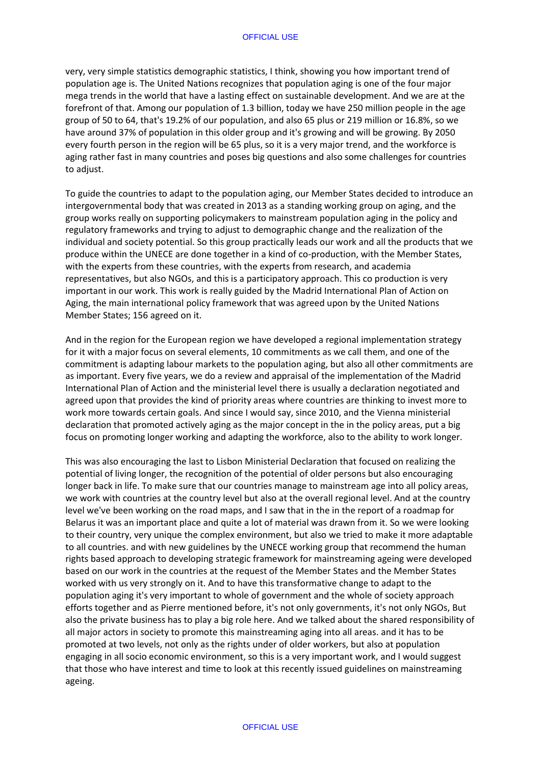very, very simple statistics demographic statistics, I think, showing you how important trend of population age is. The United Nations recognizes that population aging is one of the four major mega trends in the world that have a lasting effect on sustainable development. And we are at the forefront of that. Among our population of 1.3 billion, today we have 250 million people in the age group of 50 to 64, that's 19.2% of our population, and also 65 plus or 219 million or 16.8%, so we have around 37% of population in this older group and it's growing and will be growing. By 2050 every fourth person in the region will be 65 plus, so it is a very major trend, and the workforce is aging rather fast in many countries and poses big questions and also some challenges for countries to adjust.

To guide the countries to adapt to the population aging, our Member States decided to introduce an intergovernmental body that was created in 2013 as a standing working group on aging, and the group works really on supporting policymakers to mainstream population aging in the policy and regulatory frameworks and trying to adjust to demographic change and the realization of the individual and society potential. So this group practically leads our work and all the products that we produce within the UNECE are done together in a kind of co-production, with the Member States, with the experts from these countries, with the experts from research, and academia representatives, but also NGOs, and this is a participatory approach. This co production is very important in our work. This work is really guided by the Madrid International Plan of Action on Aging, the main international policy framework that was agreed upon by the United Nations Member States; 156 agreed on it.

And in the region for the European region we have developed a regional implementation strategy for it with a major focus on several elements, 10 commitments as we call them, and one of the commitment is adapting labour markets to the population aging, but also all other commitments are as important. Every five years, we do a review and appraisal of the implementation of the Madrid International Plan of Action and the ministerial level there is usually a declaration negotiated and agreed upon that provides the kind of priority areas where countries are thinking to invest more to work more towards certain goals. And since I would say, since 2010, and the Vienna ministerial declaration that promoted actively aging as the major concept in the in the policy areas, put a big focus on promoting longer working and adapting the workforce, also to the ability to work longer.

This was also encouraging the last to Lisbon Ministerial Declaration that focused on realizing the potential of living longer, the recognition of the potential of older persons but also encouraging longer back in life. To make sure that our countries manage to mainstream age into all policy areas, we work with countries at the country level but also at the overall regional level. And at the country level we've been working on the road maps, and I saw that in the in the report of a roadmap for Belarus it was an important place and quite a lot of material was drawn from it. So we were looking to their country, very unique the complex environment, but also we tried to make it more adaptable to all countries. and with new guidelines by the UNECE working group that recommend the human rights based approach to developing strategic framework for mainstreaming ageing were developed based on our work in the countries at the request of the Member States and the Member States worked with us very strongly on it. And to have this transformative change to adapt to the population aging it's very important to whole of government and the whole of society approach efforts together and as Pierre mentioned before, it's not only governments, it's not only NGOs, But also the private business has to play a big role here. And we talked about the shared responsibility of all major actors in society to promote this mainstreaming aging into all areas. and it has to be promoted at two levels, not only as the rights under of older workers, but also at population engaging in all socio economic environment, so this is a very important work, and I would suggest that those who have interest and time to look at this recently issued guidelines on mainstreaming ageing.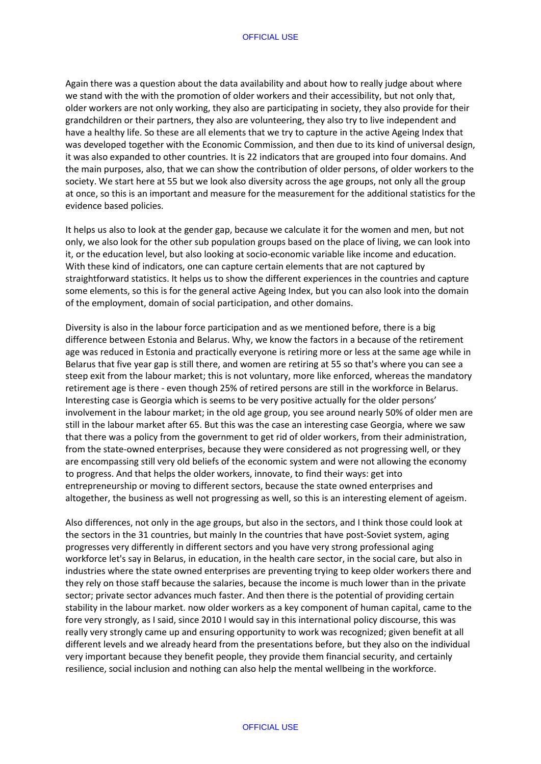Again there was a question about the data availability and about how to really judge about where we stand with the with the promotion of older workers and their accessibility, but not only that, older workers are not only working, they also are participating in society, they also provide for their grandchildren or their partners, they also are volunteering, they also try to live independent and have a healthy life. So these are all elements that we try to capture in the active Ageing Index that was developed together with the Economic Commission, and then due to its kind of universal design, it was also expanded to other countries. It is 22 indicators that are grouped into four domains. And the main purposes, also, that we can show the contribution of older persons, of older workers to the society. We start here at 55 but we look also diversity across the age groups, not only all the group at once, so this is an important and measure for the measurement for the additional statistics for the evidence based policies.

It helps us also to look at the gender gap, because we calculate it for the women and men, but not only, we also look for the other sub population groups based on the place of living, we can look into it, or the education level, but also looking at socio-economic variable like income and education. With these kind of indicators, one can capture certain elements that are not captured by straightforward statistics. It helps us to show the different experiences in the countries and capture some elements, so this is for the general active Ageing Index, but you can also look into the domain of the employment, domain of social participation, and other domains.

Diversity is also in the labour force participation and as we mentioned before, there is a big difference between Estonia and Belarus. Why, we know the factors in a because of the retirement age was reduced in Estonia and practically everyone is retiring more or less at the same age while in Belarus that five year gap is still there, and women are retiring at 55 so that's where you can see a steep exit from the labour market; this is not voluntary, more like enforced, whereas the mandatory retirement age is there - even though 25% of retired persons are still in the workforce in Belarus. Interesting case is Georgia which is seems to be very positive actually for the older persons' involvement in the labour market; in the old age group, you see around nearly 50% of older men are still in the labour market after 65. But this was the case an interesting case Georgia, where we saw that there was a policy from the government to get rid of older workers, from their administration, from the state-owned enterprises, because they were considered as not progressing well, or they are encompassing still very old beliefs of the economic system and were not allowing the economy to progress. And that helps the older workers, innovate, to find their ways: get into entrepreneurship or moving to different sectors, because the state owned enterprises and altogether, the business as well not progressing as well, so this is an interesting element of ageism.

Also differences, not only in the age groups, but also in the sectors, and I think those could look at the sectors in the 31 countries, but mainly In the countries that have post-Soviet system, aging progresses very differently in different sectors and you have very strong professional aging workforce let's say in Belarus, in education, in the health care sector, in the social care, but also in industries where the state owned enterprises are preventing trying to keep older workers there and they rely on those staff because the salaries, because the income is much lower than in the private sector; private sector advances much faster. And then there is the potential of providing certain stability in the labour market. now older workers as a key component of human capital, came to the fore very strongly, as I said, since 2010 I would say in this international policy discourse, this was really very strongly came up and ensuring opportunity to work was recognized; given benefit at all different levels and we already heard from the presentations before, but they also on the individual very important because they benefit people, they provide them financial security, and certainly resilience, social inclusion and nothing can also help the mental wellbeing in the workforce.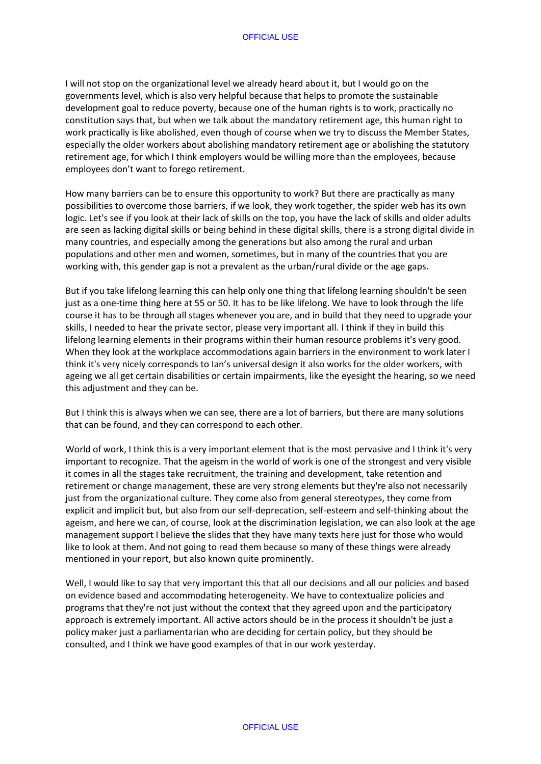I will not stop on the organizational level we already heard about it, but I would go on the governments level, which is also very helpful because that helps to promote the sustainable development goal to reduce poverty, because one of the human rights is to work, practically no constitution says that, but when we talk about the mandatory retirement age, this human right to work practically is like abolished, even though of course when we try to discuss the Member States, especially the older workers about abolishing mandatory retirement age or abolishing the statutory retirement age, for which I think employers would be willing more than the employees, because employees don't want to forego retirement.

How many barriers can be to ensure this opportunity to work? But there are practically as many possibilities to overcome those barriers, if we look, they work together, the spider web has its own logic. Let's see if you look at their lack of skills on the top, you have the lack of skills and older adults are seen as lacking digital skills or being behind in these digital skills, there is a strong digital divide in many countries, and especially among the generations but also among the rural and urban populations and other men and women, sometimes, but in many of the countries that you are working with, this gender gap is not a prevalent as the urban/rural divide or the age gaps.

But if you take lifelong learning this can help only one thing that lifelong learning shouldn't be seen just as a one-time thing here at 55 or 50. It has to be like lifelong. We have to look through the life course it has to be through all stages whenever you are, and in build that they need to upgrade your skills, I needed to hear the private sector, please very important all. I think if they in build this lifelong learning elements in their programs within their human resource problems it's very good. When they look at the workplace accommodations again barriers in the environment to work later I think it's very nicely corresponds to Ian's universal design it also works for the older workers, with ageing we all get certain disabilities or certain impairments, like the eyesight the hearing, so we need this adjustment and they can be.

But I think this is always when we can see, there are a lot of barriers, but there are many solutions that can be found, and they can correspond to each other.

World of work, I think this is a very important element that is the most pervasive and I think it's very important to recognize. That the ageism in the world of work is one of the strongest and very visible it comes in all the stages take recruitment, the training and development, take retention and retirement or change management, these are very strong elements but they're also not necessarily just from the organizational culture. They come also from general stereotypes, they come from explicit and implicit but, but also from our self-deprecation, self-esteem and self-thinking about the ageism, and here we can, of course, look at the discrimination legislation, we can also look at the age management support I believe the slides that they have many texts here just for those who would like to look at them. And not going to read them because so many of these things were already mentioned in your report, but also known quite prominently.

Well, I would like to say that very important this that all our decisions and all our policies and based on evidence based and accommodating heterogeneity. We have to contextualize policies and programs that they're not just without the context that they agreed upon and the participatory approach is extremely important. All active actors should be in the process it shouldn't be just a policy maker just a parliamentarian who are deciding for certain policy, but they should be consulted, and I think we have good examples of that in our work yesterday.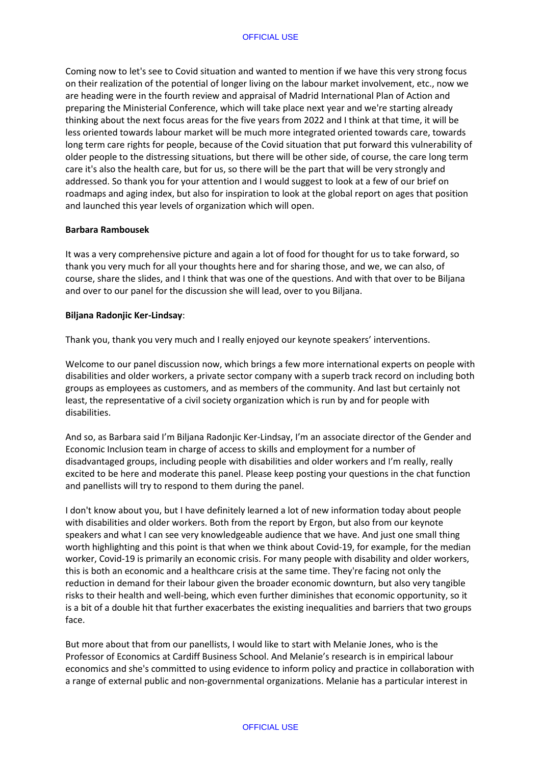Coming now to let's see to Covid situation and wanted to mention if we have this very strong focus on their realization of the potential of longer living on the labour market involvement, etc., now we are heading were in the fourth review and appraisal of Madrid International Plan of Action and preparing the Ministerial Conference, which will take place next year and we're starting already thinking about the next focus areas for the five years from 2022 and I think at that time, it will be less oriented towards labour market will be much more integrated oriented towards care, towards long term care rights for people, because of the Covid situation that put forward this vulnerability of older people to the distressing situations, but there will be other side, of course, the care long term care it's also the health care, but for us, so there will be the part that will be very strongly and addressed. So thank you for your attention and I would suggest to look at a few of our brief on roadmaps and aging index, but also for inspiration to look at the global report on ages that position and launched this year levels of organization which will open.

### **Barbara Rambousek**

It was a very comprehensive picture and again a lot of food for thought for us to take forward, so thank you very much for all your thoughts here and for sharing those, and we, we can also, of course, share the slides, and I think that was one of the questions. And with that over to be Biljana and over to our panel for the discussion she will lead, over to you Biljana.

#### **Biljana Radonjic Ker-Lindsay**:

Thank you, thank you very much and I really enjoyed our keynote speakers' interventions.

Welcome to our panel discussion now, which brings a few more international experts on people with disabilities and older workers, a private sector company with a superb track record on including both groups as employees as customers, and as members of the community. And last but certainly not least, the representative of a civil society organization which is run by and for people with disabilities.

And so, as Barbara said I'm Biljana Radonjic Ker-Lindsay, I'm an associate director of the Gender and Economic Inclusion team in charge of access to skills and employment for a number of disadvantaged groups, including people with disabilities and older workers and I'm really, really excited to be here and moderate this panel. Please keep posting your questions in the chat function and panellists will try to respond to them during the panel.

I don't know about you, but I have definitely learned a lot of new information today about people with disabilities and older workers. Both from the report by Ergon, but also from our keynote speakers and what I can see very knowledgeable audience that we have. And just one small thing worth highlighting and this point is that when we think about Covid-19, for example, for the median worker, Covid-19 is primarily an economic crisis. For many people with disability and older workers, this is both an economic and a healthcare crisis at the same time. They're facing not only the reduction in demand for their labour given the broader economic downturn, but also very tangible risks to their health and well-being, which even further diminishes that economic opportunity, so it is a bit of a double hit that further exacerbates the existing inequalities and barriers that two groups face.

But more about that from our panellists, I would like to start with Melanie Jones, who is the Professor of Economics at Cardiff Business School. And Melanie's research is in empirical labour economics and she's committed to using evidence to inform policy and practice in collaboration with a range of external public and non-governmental organizations. Melanie has a particular interest in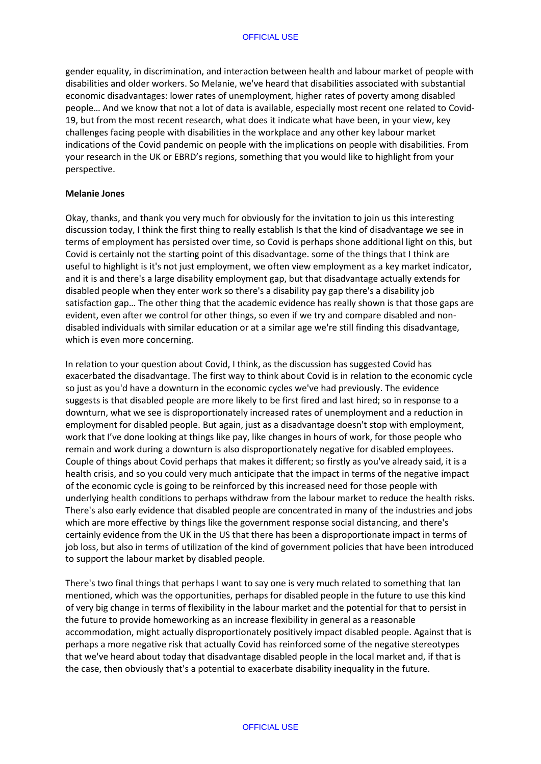gender equality, in discrimination, and interaction between health and labour market of people with disabilities and older workers. So Melanie, we've heard that disabilities associated with substantial economic disadvantages: lower rates of unemployment, higher rates of poverty among disabled people… And we know that not a lot of data is available, especially most recent one related to Covid-19, but from the most recent research, what does it indicate what have been, in your view, key challenges facing people with disabilities in the workplace and any other key labour market indications of the Covid pandemic on people with the implications on people with disabilities. From your research in the UK or EBRD's regions, something that you would like to highlight from your perspective.

### **Melanie Jones**

Okay, thanks, and thank you very much for obviously for the invitation to join us this interesting discussion today, I think the first thing to really establish Is that the kind of disadvantage we see in terms of employment has persisted over time, so Covid is perhaps shone additional light on this, but Covid is certainly not the starting point of this disadvantage. some of the things that I think are useful to highlight is it's not just employment, we often view employment as a key market indicator, and it is and there's a large disability employment gap, but that disadvantage actually extends for disabled people when they enter work so there's a disability pay gap there's a disability job satisfaction gap… The other thing that the academic evidence has really shown is that those gaps are evident, even after we control for other things, so even if we try and compare disabled and nondisabled individuals with similar education or at a similar age we're still finding this disadvantage, which is even more concerning.

In relation to your question about Covid, I think, as the discussion has suggested Covid has exacerbated the disadvantage. The first way to think about Covid is in relation to the economic cycle so just as you'd have a downturn in the economic cycles we've had previously. The evidence suggests is that disabled people are more likely to be first fired and last hired; so in response to a downturn, what we see is disproportionately increased rates of unemployment and a reduction in employment for disabled people. But again, just as a disadvantage doesn't stop with employment, work that I've done looking at things like pay, like changes in hours of work, for those people who remain and work during a downturn is also disproportionately negative for disabled employees. Couple of things about Covid perhaps that makes it different; so firstly as you've already said, it is a health crisis, and so you could very much anticipate that the impact in terms of the negative impact of the economic cycle is going to be reinforced by this increased need for those people with underlying health conditions to perhaps withdraw from the labour market to reduce the health risks. There's also early evidence that disabled people are concentrated in many of the industries and jobs which are more effective by things like the government response social distancing, and there's certainly evidence from the UK in the US that there has been a disproportionate impact in terms of job loss, but also in terms of utilization of the kind of government policies that have been introduced to support the labour market by disabled people.

There's two final things that perhaps I want to say one is very much related to something that Ian mentioned, which was the opportunities, perhaps for disabled people in the future to use this kind of very big change in terms of flexibility in the labour market and the potential for that to persist in the future to provide homeworking as an increase flexibility in general as a reasonable accommodation, might actually disproportionately positively impact disabled people. Against that is perhaps a more negative risk that actually Covid has reinforced some of the negative stereotypes that we've heard about today that disadvantage disabled people in the local market and, if that is the case, then obviously that's a potential to exacerbate disability inequality in the future.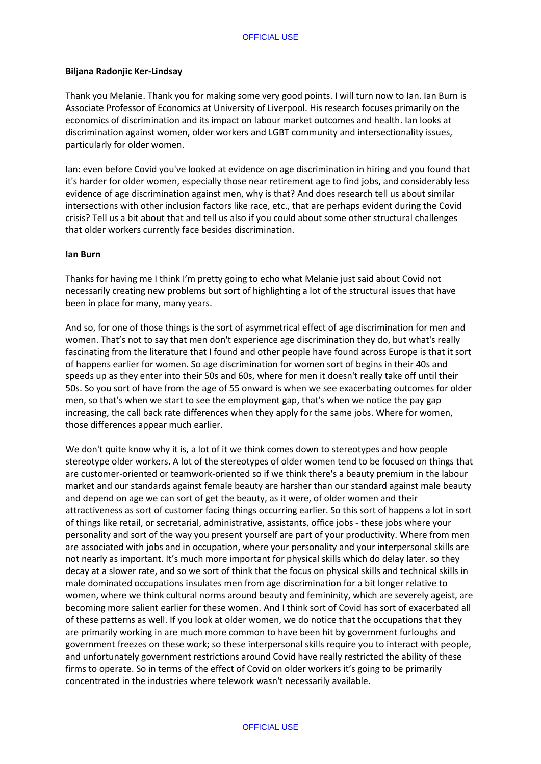## **Biljana Radonjic Ker-Lindsay**

Thank you Melanie. Thank you for making some very good points. I will turn now to Ian. Ian Burn is Associate Professor of Economics at University of Liverpool. His research focuses primarily on the economics of discrimination and its impact on labour market outcomes and health. Ian looks at discrimination against women, older workers and LGBT community and intersectionality issues, particularly for older women.

Ian: even before Covid you've looked at evidence on age discrimination in hiring and you found that it's harder for older women, especially those near retirement age to find jobs, and considerably less evidence of age discrimination against men, why is that? And does research tell us about similar intersections with other inclusion factors like race, etc., that are perhaps evident during the Covid crisis? Tell us a bit about that and tell us also if you could about some other structural challenges that older workers currently face besides discrimination.

## **Ian Burn**

Thanks for having me I think I'm pretty going to echo what Melanie just said about Covid not necessarily creating new problems but sort of highlighting a lot of the structural issues that have been in place for many, many years.

And so, for one of those things is the sort of asymmetrical effect of age discrimination for men and women. That's not to say that men don't experience age discrimination they do, but what's really fascinating from the literature that I found and other people have found across Europe is that it sort of happens earlier for women. So age discrimination for women sort of begins in their 40s and speeds up as they enter into their 50s and 60s, where for men it doesn't really take off until their 50s. So you sort of have from the age of 55 onward is when we see exacerbating outcomes for older men, so that's when we start to see the employment gap, that's when we notice the pay gap increasing, the call back rate differences when they apply for the same jobs. Where for women, those differences appear much earlier.

We don't quite know why it is, a lot of it we think comes down to stereotypes and how people stereotype older workers. A lot of the stereotypes of older women tend to be focused on things that are customer-oriented or teamwork-oriented so if we think there's a beauty premium in the labour market and our standards against female beauty are harsher than our standard against male beauty and depend on age we can sort of get the beauty, as it were, of older women and their attractiveness as sort of customer facing things occurring earlier. So this sort of happens a lot in sort of things like retail, or secretarial, administrative, assistants, office jobs - these jobs where your personality and sort of the way you present yourself are part of your productivity. Where from men are associated with jobs and in occupation, where your personality and your interpersonal skills are not nearly as important. It's much more important for physical skills which do delay later. so they decay at a slower rate, and so we sort of think that the focus on physical skills and technical skills in male dominated occupations insulates men from age discrimination for a bit longer relative to women, where we think cultural norms around beauty and femininity, which are severely ageist, are becoming more salient earlier for these women. And I think sort of Covid has sort of exacerbated all of these patterns as well. If you look at older women, we do notice that the occupations that they are primarily working in are much more common to have been hit by government furloughs and government freezes on these work; so these interpersonal skills require you to interact with people, and unfortunately government restrictions around Covid have really restricted the ability of these firms to operate. So in terms of the effect of Covid on older workers it's going to be primarily concentrated in the industries where telework wasn't necessarily available.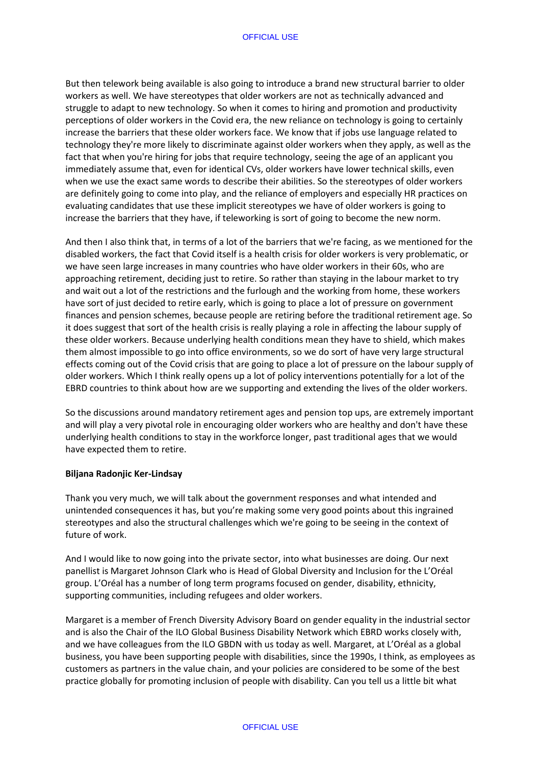But then telework being available is also going to introduce a brand new structural barrier to older workers as well. We have stereotypes that older workers are not as technically advanced and struggle to adapt to new technology. So when it comes to hiring and promotion and productivity perceptions of older workers in the Covid era, the new reliance on technology is going to certainly increase the barriers that these older workers face. We know that if jobs use language related to technology they're more likely to discriminate against older workers when they apply, as well as the fact that when you're hiring for jobs that require technology, seeing the age of an applicant you immediately assume that, even for identical CVs, older workers have lower technical skills, even when we use the exact same words to describe their abilities. So the stereotypes of older workers are definitely going to come into play, and the reliance of employers and especially HR practices on evaluating candidates that use these implicit stereotypes we have of older workers is going to increase the barriers that they have, if teleworking is sort of going to become the new norm.

And then I also think that, in terms of a lot of the barriers that we're facing, as we mentioned for the disabled workers, the fact that Covid itself is a health crisis for older workers is very problematic, or we have seen large increases in many countries who have older workers in their 60s, who are approaching retirement, deciding just to retire. So rather than staying in the labour market to try and wait out a lot of the restrictions and the furlough and the working from home, these workers have sort of just decided to retire early, which is going to place a lot of pressure on government finances and pension schemes, because people are retiring before the traditional retirement age. So it does suggest that sort of the health crisis is really playing a role in affecting the labour supply of these older workers. Because underlying health conditions mean they have to shield, which makes them almost impossible to go into office environments, so we do sort of have very large structural effects coming out of the Covid crisis that are going to place a lot of pressure on the labour supply of older workers. Which I think really opens up a lot of policy interventions potentially for a lot of the EBRD countries to think about how are we supporting and extending the lives of the older workers.

So the discussions around mandatory retirement ages and pension top ups, are extremely important and will play a very pivotal role in encouraging older workers who are healthy and don't have these underlying health conditions to stay in the workforce longer, past traditional ages that we would have expected them to retire.

### **Biljana Radonjic Ker-Lindsay**

Thank you very much, we will talk about the government responses and what intended and unintended consequences it has, but you're making some very good points about this ingrained stereotypes and also the structural challenges which we're going to be seeing in the context of future of work.

And I would like to now going into the private sector, into what businesses are doing. Our next panellist is Margaret Johnson Clark who is Head of Global Diversity and Inclusion for the L'Oréal group. L'Oréal has a number of long term programs focused on gender, disability, ethnicity, supporting communities, including refugees and older workers.

Margaret is a member of French Diversity Advisory Board on gender equality in the industrial sector and is also the Chair of the ILO Global Business Disability Network which EBRD works closely with, and we have colleagues from the ILO GBDN with us today as well. Margaret, at L'Oréal as a global business, you have been supporting people with disabilities, since the 1990s, I think, as employees as customers as partners in the value chain, and your policies are considered to be some of the best practice globally for promoting inclusion of people with disability. Can you tell us a little bit what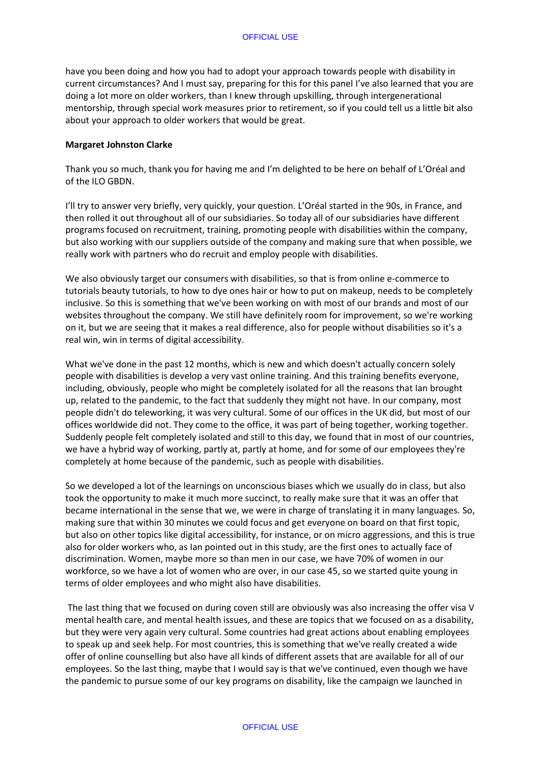have you been doing and how you had to adopt your approach towards people with disability in current circumstances? And I must say, preparing for this for this panel I've also learned that you are doing a lot more on older workers, than I knew through upskilling, through intergenerational mentorship, through special work measures prior to retirement, so if you could tell us a little bit also about your approach to older workers that would be great.

### **Margaret Johnston Clarke**

Thank you so much, thank you for having me and I'm delighted to be here on behalf of L'Oréal and of the ILO GBDN.

I'll try to answer very briefly, very quickly, your question. L'Oréal started in the 90s, in France, and then rolled it out throughout all of our subsidiaries. So today all of our subsidiaries have different programs focused on recruitment, training, promoting people with disabilities within the company, but also working with our suppliers outside of the company and making sure that when possible, we really work with partners who do recruit and employ people with disabilities.

We also obviously target our consumers with disabilities, so that is from online e-commerce to tutorials beauty tutorials, to how to dye ones hair or how to put on makeup, needs to be completely inclusive. So this is something that we've been working on with most of our brands and most of our websites throughout the company. We still have definitely room for improvement, so we're working on it, but we are seeing that it makes a real difference, also for people without disabilities so it's a real win, win in terms of digital accessibility.

What we've done in the past 12 months, which is new and which doesn't actually concern solely people with disabilities is develop a very vast online training. And this training benefits everyone, including, obviously, people who might be completely isolated for all the reasons that Ian brought up, related to the pandemic, to the fact that suddenly they might not have. In our company, most people didn't do teleworking, it was very cultural. Some of our offices in the UK did, but most of our offices worldwide did not. They come to the office, it was part of being together, working together. Suddenly people felt completely isolated and still to this day, we found that in most of our countries, we have a hybrid way of working, partly at, partly at home, and for some of our employees they're completely at home because of the pandemic, such as people with disabilities.

So we developed a lot of the learnings on unconscious biases which we usually do in class, but also took the opportunity to make it much more succinct, to really make sure that it was an offer that became international in the sense that we, we were in charge of translating it in many languages. So, making sure that within 30 minutes we could focus and get everyone on board on that first topic, but also on other topics like digital accessibility, for instance, or on micro aggressions, and this is true also for older workers who, as Ian pointed out in this study, are the first ones to actually face of discrimination. Women, maybe more so than men in our case, we have 70% of women in our workforce, so we have a lot of women who are over, in our case 45, so we started quite young in terms of older employees and who might also have disabilities.

The last thing that we focused on during coven still are obviously was also increasing the offer visa V mental health care, and mental health issues, and these are topics that we focused on as a disability, but they were very again very cultural. Some countries had great actions about enabling employees to speak up and seek help. For most countries, this is something that we've really created a wide offer of online counselling but also have all kinds of different assets that are available for all of our employees. So the last thing, maybe that I would say is that we've continued, even though we have the pandemic to pursue some of our key programs on disability, like the campaign we launched in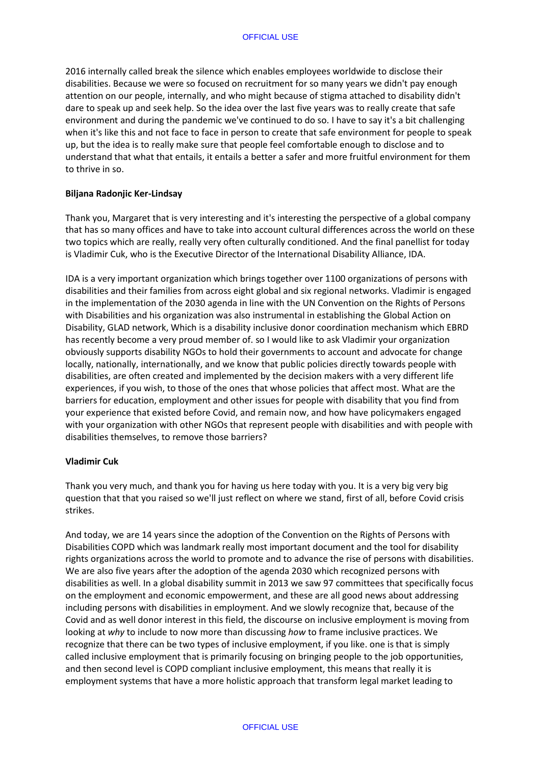2016 internally called break the silence which enables employees worldwide to disclose their disabilities. Because we were so focused on recruitment for so many years we didn't pay enough attention on our people, internally, and who might because of stigma attached to disability didn't dare to speak up and seek help. So the idea over the last five years was to really create that safe environment and during the pandemic we've continued to do so. I have to say it's a bit challenging when it's like this and not face to face in person to create that safe environment for people to speak up, but the idea is to really make sure that people feel comfortable enough to disclose and to understand that what that entails, it entails a better a safer and more fruitful environment for them to thrive in so.

### **Biljana Radonjic Ker-Lindsay**

Thank you, Margaret that is very interesting and it's interesting the perspective of a global company that has so many offices and have to take into account cultural differences across the world on these two topics which are really, really very often culturally conditioned. And the final panellist for today is Vladimir Cuk, who is the Executive Director of the International Disability Alliance, IDA.

IDA is a very important organization which brings together over 1100 organizations of persons with disabilities and their families from across eight global and six regional networks. Vladimir is engaged in the implementation of the 2030 agenda in line with the UN Convention on the Rights of Persons with Disabilities and his organization was also instrumental in establishing the Global Action on Disability, GLAD network, Which is a disability inclusive donor coordination mechanism which EBRD has recently become a very proud member of. so I would like to ask Vladimir your organization obviously supports disability NGOs to hold their governments to account and advocate for change locally, nationally, internationally, and we know that public policies directly towards people with disabilities, are often created and implemented by the decision makers with a very different life experiences, if you wish, to those of the ones that whose policies that affect most. What are the barriers for education, employment and other issues for people with disability that you find from your experience that existed before Covid, and remain now, and how have policymakers engaged with your organization with other NGOs that represent people with disabilities and with people with disabilities themselves, to remove those barriers?

### **Vladimir Cuk**

Thank you very much, and thank you for having us here today with you. It is a very big very big question that that you raised so we'll just reflect on where we stand, first of all, before Covid crisis strikes.

And today, we are 14 years since the adoption of the Convention on the Rights of Persons with Disabilities COPD which was landmark really most important document and the tool for disability rights organizations across the world to promote and to advance the rise of persons with disabilities. We are also five years after the adoption of the agenda 2030 which recognized persons with disabilities as well. In a global disability summit in 2013 we saw 97 committees that specifically focus on the employment and economic empowerment, and these are all good news about addressing including persons with disabilities in employment. And we slowly recognize that, because of the Covid and as well donor interest in this field, the discourse on inclusive employment is moving from looking at *why* to include to now more than discussing *how* to frame inclusive practices. We recognize that there can be two types of inclusive employment, if you like. one is that is simply called inclusive employment that is primarily focusing on bringing people to the job opportunities, and then second level is COPD compliant inclusive employment, this means that really it is employment systems that have a more holistic approach that transform legal market leading to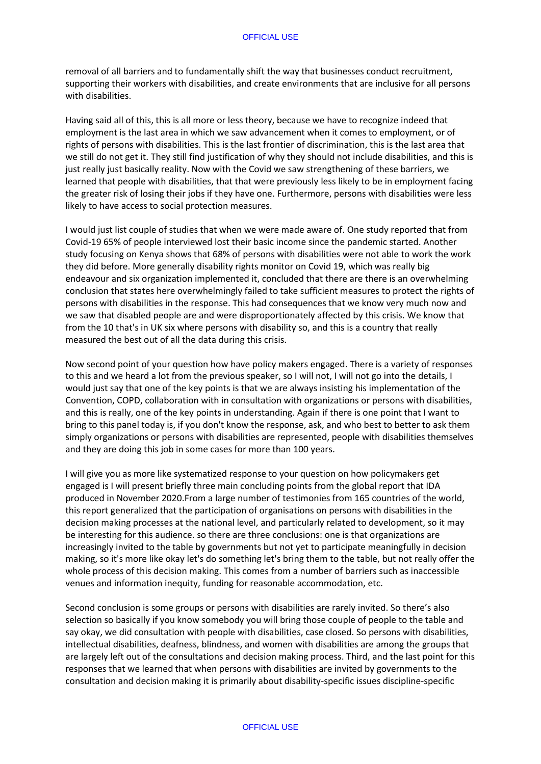removal of all barriers and to fundamentally shift the way that businesses conduct recruitment, supporting their workers with disabilities, and create environments that are inclusive for all persons with disabilities.

Having said all of this, this is all more or less theory, because we have to recognize indeed that employment is the last area in which we saw advancement when it comes to employment, or of rights of persons with disabilities. This is the last frontier of discrimination, this is the last area that we still do not get it. They still find justification of why they should not include disabilities, and this is just really just basically reality. Now with the Covid we saw strengthening of these barriers, we learned that people with disabilities, that that were previously less likely to be in employment facing the greater risk of losing their jobs if they have one. Furthermore, persons with disabilities were less likely to have access to social protection measures.

I would just list couple of studies that when we were made aware of. One study reported that from Covid-19 65% of people interviewed lost their basic income since the pandemic started. Another study focusing on Kenya shows that 68% of persons with disabilities were not able to work the work they did before. More generally disability rights monitor on Covid 19, which was really big endeavour and six organization implemented it, concluded that there are there is an overwhelming conclusion that states here overwhelmingly failed to take sufficient measures to protect the rights of persons with disabilities in the response. This had consequences that we know very much now and we saw that disabled people are and were disproportionately affected by this crisis. We know that from the 10 that's in UK six where persons with disability so, and this is a country that really measured the best out of all the data during this crisis.

Now second point of your question how have policy makers engaged. There is a variety of responses to this and we heard a lot from the previous speaker, so I will not, I will not go into the details, I would just say that one of the key points is that we are always insisting his implementation of the Convention, COPD, collaboration with in consultation with organizations or persons with disabilities, and this is really, one of the key points in understanding. Again if there is one point that I want to bring to this panel today is, if you don't know the response, ask, and who best to better to ask them simply organizations or persons with disabilities are represented, people with disabilities themselves and they are doing this job in some cases for more than 100 years.

I will give you as more like systematized response to your question on how policymakers get engaged is I will present briefly three main concluding points from the global report that IDA produced in November 2020.From a large number of testimonies from 165 countries of the world, this report generalized that the participation of organisations on persons with disabilities in the decision making processes at the national level, and particularly related to development, so it may be interesting for this audience. so there are three conclusions: one is that organizations are increasingly invited to the table by governments but not yet to participate meaningfully in decision making, so it's more like okay let's do something let's bring them to the table, but not really offer the whole process of this decision making. This comes from a number of barriers such as inaccessible venues and information inequity, funding for reasonable accommodation, etc.

Second conclusion is some groups or persons with disabilities are rarely invited. So there's also selection so basically if you know somebody you will bring those couple of people to the table and say okay, we did consultation with people with disabilities, case closed. So persons with disabilities, intellectual disabilities, deafness, blindness, and women with disabilities are among the groups that are largely left out of the consultations and decision making process. Third, and the last point for this responses that we learned that when persons with disabilities are invited by governments to the consultation and decision making it is primarily about disability-specific issues discipline-specific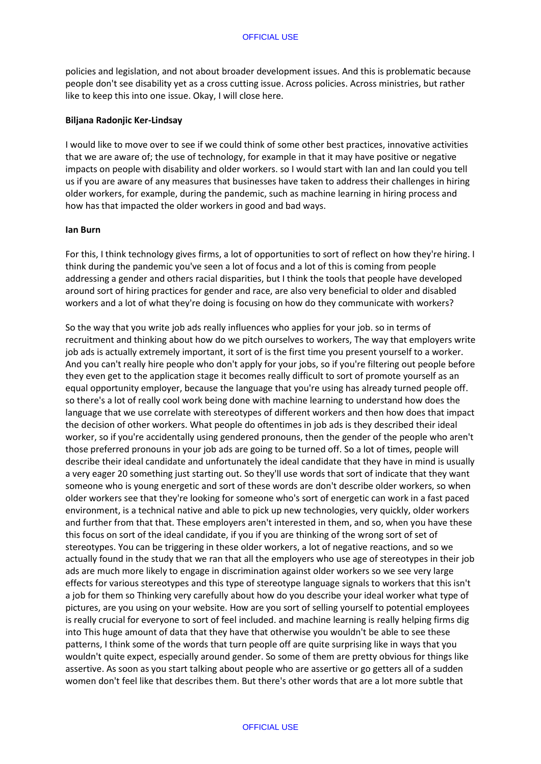policies and legislation, and not about broader development issues. And this is problematic because people don't see disability yet as a cross cutting issue. Across policies. Across ministries, but rather like to keep this into one issue. Okay, I will close here.

### **Biljana Radonjic Ker-Lindsay**

I would like to move over to see if we could think of some other best practices, innovative activities that we are aware of; the use of technology, for example in that it may have positive or negative impacts on people with disability and older workers. so I would start with Ian and Ian could you tell us if you are aware of any measures that businesses have taken to address their challenges in hiring older workers, for example, during the pandemic, such as machine learning in hiring process and how has that impacted the older workers in good and bad ways.

#### **Ian Burn**

For this, I think technology gives firms, a lot of opportunities to sort of reflect on how they're hiring. I think during the pandemic you've seen a lot of focus and a lot of this is coming from people addressing a gender and others racial disparities, but I think the tools that people have developed around sort of hiring practices for gender and race, are also very beneficial to older and disabled workers and a lot of what they're doing is focusing on how do they communicate with workers?

So the way that you write job ads really influences who applies for your job. so in terms of recruitment and thinking about how do we pitch ourselves to workers, The way that employers write job ads is actually extremely important, it sort of is the first time you present yourself to a worker. And you can't really hire people who don't apply for your jobs, so if you're filtering out people before they even get to the application stage it becomes really difficult to sort of promote yourself as an equal opportunity employer, because the language that you're using has already turned people off. so there's a lot of really cool work being done with machine learning to understand how does the language that we use correlate with stereotypes of different workers and then how does that impact the decision of other workers. What people do oftentimes in job ads is they described their ideal worker, so if you're accidentally using gendered pronouns, then the gender of the people who aren't those preferred pronouns in your job ads are going to be turned off. So a lot of times, people will describe their ideal candidate and unfortunately the ideal candidate that they have in mind is usually a very eager 20 something just starting out. So they'll use words that sort of indicate that they want someone who is young energetic and sort of these words are don't describe older workers, so when older workers see that they're looking for someone who's sort of energetic can work in a fast paced environment, is a technical native and able to pick up new technologies, very quickly, older workers and further from that that. These employers aren't interested in them, and so, when you have these this focus on sort of the ideal candidate, if you if you are thinking of the wrong sort of set of stereotypes. You can be triggering in these older workers, a lot of negative reactions, and so we actually found in the study that we ran that all the employers who use age of stereotypes in their job ads are much more likely to engage in discrimination against older workers so we see very large effects for various stereotypes and this type of stereotype language signals to workers that this isn't a job for them so Thinking very carefully about how do you describe your ideal worker what type of pictures, are you using on your website. How are you sort of selling yourself to potential employees is really crucial for everyone to sort of feel included. and machine learning is really helping firms dig into This huge amount of data that they have that otherwise you wouldn't be able to see these patterns, I think some of the words that turn people off are quite surprising like in ways that you wouldn't quite expect, especially around gender. So some of them are pretty obvious for things like assertive. As soon as you start talking about people who are assertive or go getters all of a sudden women don't feel like that describes them. But there's other words that are a lot more subtle that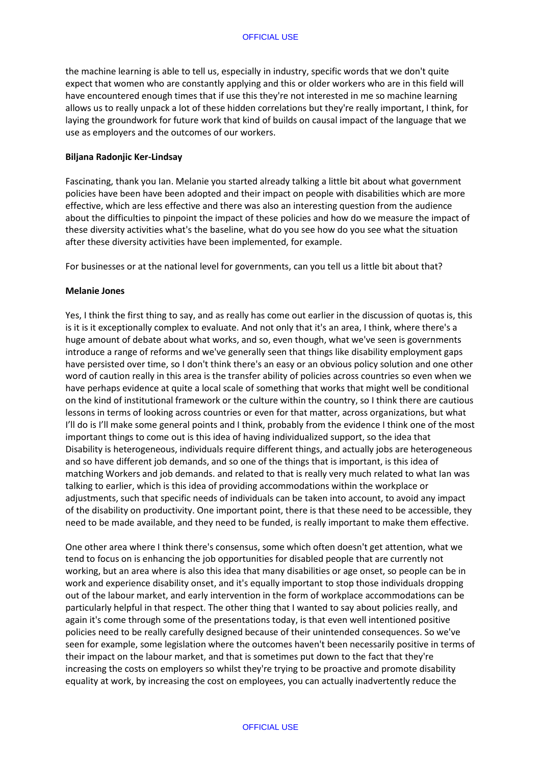the machine learning is able to tell us, especially in industry, specific words that we don't quite expect that women who are constantly applying and this or older workers who are in this field will have encountered enough times that if use this they're not interested in me so machine learning allows us to really unpack a lot of these hidden correlations but they're really important, I think, for laying the groundwork for future work that kind of builds on causal impact of the language that we use as employers and the outcomes of our workers.

### **Biljana Radonjic Ker-Lindsay**

Fascinating, thank you Ian. Melanie you started already talking a little bit about what government policies have been have been adopted and their impact on people with disabilities which are more effective, which are less effective and there was also an interesting question from the audience about the difficulties to pinpoint the impact of these policies and how do we measure the impact of these diversity activities what's the baseline, what do you see how do you see what the situation after these diversity activities have been implemented, for example.

For businesses or at the national level for governments, can you tell us a little bit about that?

## **Melanie Jones**

Yes, I think the first thing to say, and as really has come out earlier in the discussion of quotas is, this is it is it exceptionally complex to evaluate. And not only that it's an area, I think, where there's a huge amount of debate about what works, and so, even though, what we've seen is governments introduce a range of reforms and we've generally seen that things like disability employment gaps have persisted over time, so I don't think there's an easy or an obvious policy solution and one other word of caution really in this area is the transfer ability of policies across countries so even when we have perhaps evidence at quite a local scale of something that works that might well be conditional on the kind of institutional framework or the culture within the country, so I think there are cautious lessons in terms of looking across countries or even for that matter, across organizations, but what I'll do is I'll make some general points and I think, probably from the evidence I think one of the most important things to come out is this idea of having individualized support, so the idea that Disability is heterogeneous, individuals require different things, and actually jobs are heterogeneous and so have different job demands, and so one of the things that is important, is this idea of matching Workers and job demands. and related to that is really very much related to what Ian was talking to earlier, which is this idea of providing accommodations within the workplace or adjustments, such that specific needs of individuals can be taken into account, to avoid any impact of the disability on productivity. One important point, there is that these need to be accessible, they need to be made available, and they need to be funded, is really important to make them effective.

One other area where I think there's consensus, some which often doesn't get attention, what we tend to focus on is enhancing the job opportunities for disabled people that are currently not working, but an area where is also this idea that many disabilities or age onset, so people can be in work and experience disability onset, and it's equally important to stop those individuals dropping out of the labour market, and early intervention in the form of workplace accommodations can be particularly helpful in that respect. The other thing that I wanted to say about policies really, and again it's come through some of the presentations today, is that even well intentioned positive policies need to be really carefully designed because of their unintended consequences. So we've seen for example, some legislation where the outcomes haven't been necessarily positive in terms of their impact on the labour market, and that is sometimes put down to the fact that they're increasing the costs on employers so whilst they're trying to be proactive and promote disability equality at work, by increasing the cost on employees, you can actually inadvertently reduce the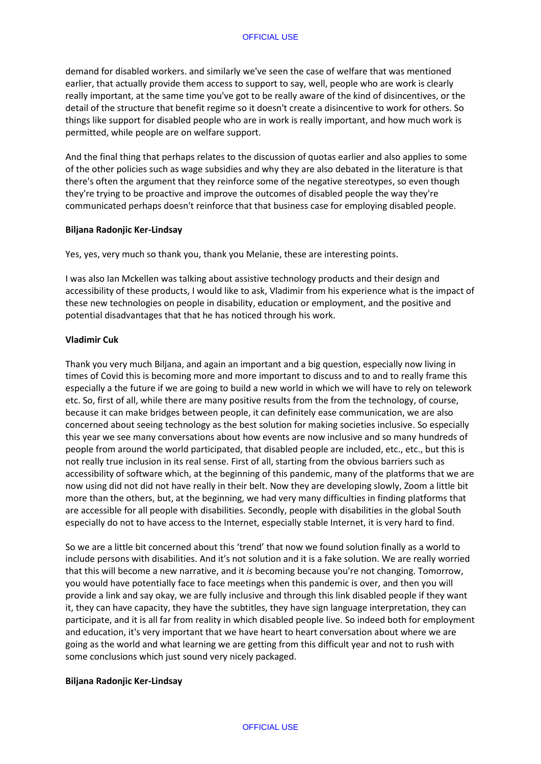demand for disabled workers. and similarly we've seen the case of welfare that was mentioned earlier, that actually provide them access to support to say, well, people who are work is clearly really important, at the same time you've got to be really aware of the kind of disincentives, or the detail of the structure that benefit regime so it doesn't create a disincentive to work for others. So things like support for disabled people who are in work is really important, and how much work is permitted, while people are on welfare support.

And the final thing that perhaps relates to the discussion of quotas earlier and also applies to some of the other policies such as wage subsidies and why they are also debated in the literature is that there's often the argument that they reinforce some of the negative stereotypes, so even though they're trying to be proactive and improve the outcomes of disabled people the way they're communicated perhaps doesn't reinforce that that business case for employing disabled people.

### **Biljana Radonjic Ker-Lindsay**

Yes, yes, very much so thank you, thank you Melanie, these are interesting points.

I was also Ian Mckellen was talking about assistive technology products and their design and accessibility of these products, I would like to ask, Vladimir from his experience what is the impact of these new technologies on people in disability, education or employment, and the positive and potential disadvantages that that he has noticed through his work.

## **Vladimir Cuk**

Thank you very much Biljana, and again an important and a big question, especially now living in times of Covid this is becoming more and more important to discuss and to and to really frame this especially a the future if we are going to build a new world in which we will have to rely on telework etc. So, first of all, while there are many positive results from the from the technology, of course, because it can make bridges between people, it can definitely ease communication, we are also concerned about seeing technology as the best solution for making societies inclusive. So especially this year we see many conversations about how events are now inclusive and so many hundreds of people from around the world participated, that disabled people are included, etc., etc., but this is not really true inclusion in its real sense. First of all, starting from the obvious barriers such as accessibility of software which, at the beginning of this pandemic, many of the platforms that we are now using did not did not have really in their belt. Now they are developing slowly, Zoom a little bit more than the others, but, at the beginning, we had very many difficulties in finding platforms that are accessible for all people with disabilities. Secondly, people with disabilities in the global South especially do not to have access to the Internet, especially stable Internet, it is very hard to find.

So we are a little bit concerned about this 'trend' that now we found solution finally as a world to include persons with disabilities. And it's not solution and it is a fake solution. We are really worried that this will become a new narrative, and it *is* becoming because you're not changing. Tomorrow, you would have potentially face to face meetings when this pandemic is over, and then you will provide a link and say okay, we are fully inclusive and through this link disabled people if they want it, they can have capacity, they have the subtitles, they have sign language interpretation, they can participate, and it is all far from reality in which disabled people live. So indeed both for employment and education, it's very important that we have heart to heart conversation about where we are going as the world and what learning we are getting from this difficult year and not to rush with some conclusions which just sound very nicely packaged.

# **Biljana Radonjic Ker-Lindsay**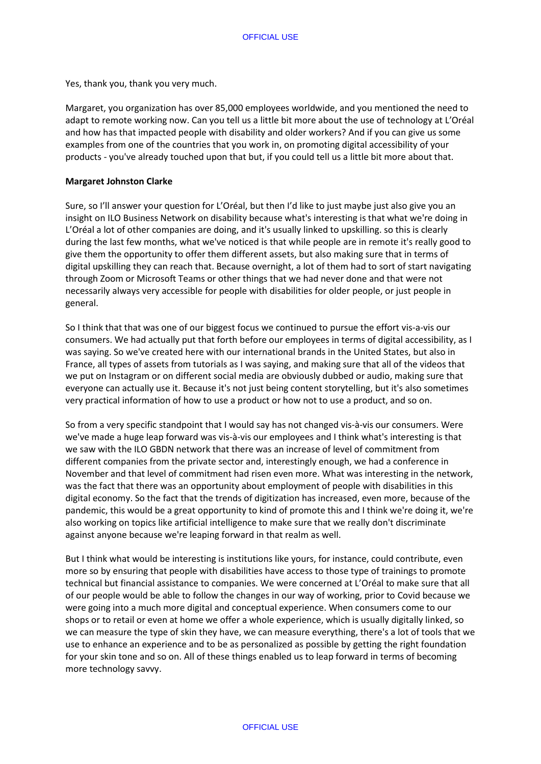Yes, thank you, thank you very much.

Margaret, you organization has over 85,000 employees worldwide, and you mentioned the need to adapt to remote working now. Can you tell us a little bit more about the use of technology at L'Oréal and how has that impacted people with disability and older workers? And if you can give us some examples from one of the countries that you work in, on promoting digital accessibility of your products - you've already touched upon that but, if you could tell us a little bit more about that.

### **Margaret Johnston Clarke**

Sure, so I'll answer your question for L'Oréal, but then I'd like to just maybe just also give you an insight on ILO Business Network on disability because what's interesting is that what we're doing in L'Oréal a lot of other companies are doing, and it's usually linked to upskilling. so this is clearly during the last few months, what we've noticed is that while people are in remote it's really good to give them the opportunity to offer them different assets, but also making sure that in terms of digital upskilling they can reach that. Because overnight, a lot of them had to sort of start navigating through Zoom or Microsoft Teams or other things that we had never done and that were not necessarily always very accessible for people with disabilities for older people, or just people in general.

So I think that that was one of our biggest focus we continued to pursue the effort vis-a-vis our consumers. We had actually put that forth before our employees in terms of digital accessibility, as I was saying. So we've created here with our international brands in the United States, but also in France, all types of assets from tutorials as I was saying, and making sure that all of the videos that we put on Instagram or on different social media are obviously dubbed or audio, making sure that everyone can actually use it. Because it's not just being content storytelling, but it's also sometimes very practical information of how to use a product or how not to use a product, and so on.

So from a very specific standpoint that I would say has not changed vis-à-vis our consumers. Were we've made a huge leap forward was vis-à-vis our employees and I think what's interesting is that we saw with the ILO GBDN network that there was an increase of level of commitment from different companies from the private sector and, interestingly enough, we had a conference in November and that level of commitment had risen even more. What was interesting in the network, was the fact that there was an opportunity about employment of people with disabilities in this digital economy. So the fact that the trends of digitization has increased, even more, because of the pandemic, this would be a great opportunity to kind of promote this and I think we're doing it, we're also working on topics like artificial intelligence to make sure that we really don't discriminate against anyone because we're leaping forward in that realm as well.

But I think what would be interesting is institutions like yours, for instance, could contribute, even more so by ensuring that people with disabilities have access to those type of trainings to promote technical but financial assistance to companies. We were concerned at L'Oréal to make sure that all of our people would be able to follow the changes in our way of working, prior to Covid because we were going into a much more digital and conceptual experience. When consumers come to our shops or to retail or even at home we offer a whole experience, which is usually digitally linked, so we can measure the type of skin they have, we can measure everything, there's a lot of tools that we use to enhance an experience and to be as personalized as possible by getting the right foundation for your skin tone and so on. All of these things enabled us to leap forward in terms of becoming more technology savvy.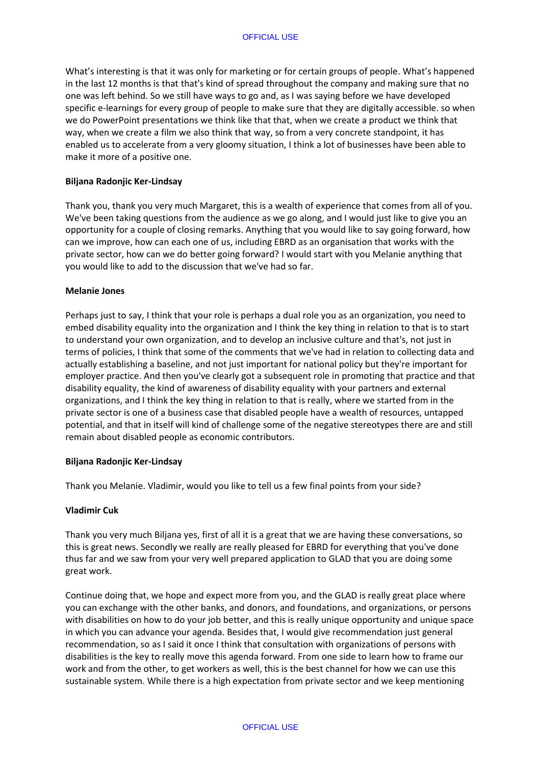What's interesting is that it was only for marketing or for certain groups of people. What's happened in the last 12 months is that that's kind of spread throughout the company and making sure that no one was left behind. So we still have ways to go and, as I was saying before we have developed specific e-learnings for every group of people to make sure that they are digitally accessible. so when we do PowerPoint presentations we think like that that, when we create a product we think that way, when we create a film we also think that way, so from a very concrete standpoint, it has enabled us to accelerate from a very gloomy situation, I think a lot of businesses have been able to make it more of a positive one.

### **Biljana Radonjic Ker-Lindsay**

Thank you, thank you very much Margaret, this is a wealth of experience that comes from all of you. We've been taking questions from the audience as we go along, and I would just like to give you an opportunity for a couple of closing remarks. Anything that you would like to say going forward, how can we improve, how can each one of us, including EBRD as an organisation that works with the private sector, how can we do better going forward? I would start with you Melanie anything that you would like to add to the discussion that we've had so far.

### **Melanie Jones**

Perhaps just to say, I think that your role is perhaps a dual role you as an organization, you need to embed disability equality into the organization and I think the key thing in relation to that is to start to understand your own organization, and to develop an inclusive culture and that's, not just in terms of policies, I think that some of the comments that we've had in relation to collecting data and actually establishing a baseline, and not just important for national policy but they're important for employer practice. And then you've clearly got a subsequent role in promoting that practice and that disability equality, the kind of awareness of disability equality with your partners and external organizations, and I think the key thing in relation to that is really, where we started from in the private sector is one of a business case that disabled people have a wealth of resources, untapped potential, and that in itself will kind of challenge some of the negative stereotypes there are and still remain about disabled people as economic contributors.

### **Biljana Radonjic Ker-Lindsay**

Thank you Melanie. Vladimir, would you like to tell us a few final points from your side?

### **Vladimir Cuk**

Thank you very much Biljana yes, first of all it is a great that we are having these conversations, so this is great news. Secondly we really are really pleased for EBRD for everything that you've done thus far and we saw from your very well prepared application to GLAD that you are doing some great work.

Continue doing that, we hope and expect more from you, and the GLAD is really great place where you can exchange with the other banks, and donors, and foundations, and organizations, or persons with disabilities on how to do your job better, and this is really unique opportunity and unique space in which you can advance your agenda. Besides that, I would give recommendation just general recommendation, so as I said it once I think that consultation with organizations of persons with disabilities is the key to really move this agenda forward. From one side to learn how to frame our work and from the other, to get workers as well, this is the best channel for how we can use this sustainable system. While there is a high expectation from private sector and we keep mentioning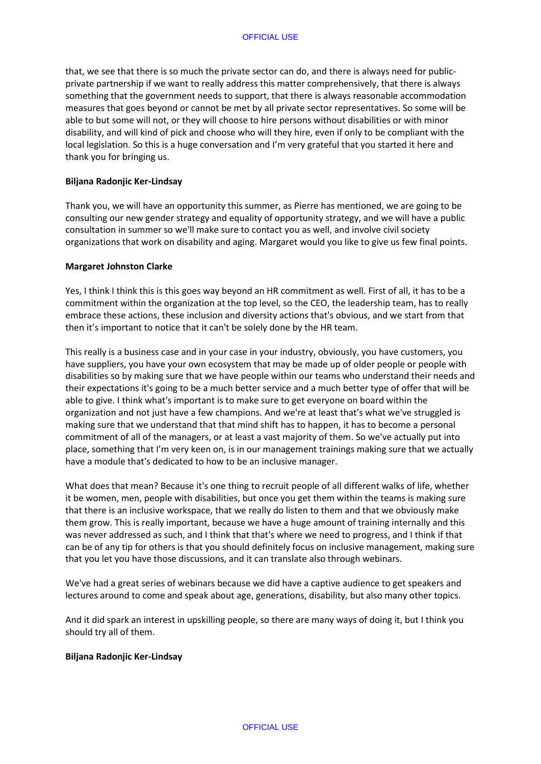that, we see that there is so much the private sector can do, and there is always need for publicprivate partnership if we want to really address this matter comprehensively, that there is always something that the government needs to support, that there is always reasonable accommodation measures that goes beyond or cannot be met by all private sector representatives. So some will be able to but some will not, or they will choose to hire persons without disabilities or with minor disability, and will kind of pick and choose who will they hire, even if only to be compliant with the local legislation. So this is a huge conversation and I'm very grateful that you started it here and thank you for bringing us.

### **Biljana Radonjic Ker-Lindsay**

Thank you, we will have an opportunity this summer, as Pierre has mentioned, we are going to be consulting our new gender strategy and equality of opportunity strategy, and we will have a public consultation in summer so we'll make sure to contact you as well, and involve civil society organizations that work on disability and aging. Margaret would you like to give us few final points.

## **Margaret Johnston Clarke**

Yes, I think I think this is this goes way beyond an HR commitment as well. First of all, it has to be a commitment within the organization at the top level, so the CEO, the leadership team, has to really embrace these actions, these inclusion and diversity actions that's obvious, and we start from that then it's important to notice that it can't be solely done by the HR team.

This really is a business case and in your case in your industry, obviously, you have customers, you have suppliers, you have your own ecosystem that may be made up of older people or people with disabilities so by making sure that we have people within our teams who understand their needs and their expectations it's going to be a much better service and a much better type of offer that will be able to give. I think what's important is to make sure to get everyone on board within the organization and not just have a few champions. And we're at least that's what we've struggled is making sure that we understand that that mind shift has to happen, it has to become a personal commitment of all of the managers, or at least a vast majority of them. So we've actually put into place, something that I'm very keen on, is in our management trainings making sure that we actually have a module that's dedicated to how to be an inclusive manager.

What does that mean? Because it's one thing to recruit people of all different walks of life, whether it be women, men, people with disabilities, but once you get them within the teams is making sure that there is an inclusive workspace, that we really do listen to them and that we obviously make them grow. This is really important, because we have a huge amount of training internally and this was never addressed as such, and I think that that's where we need to progress, and I think if that can be of any tip for others is that you should definitely focus on inclusive management, making sure that you let you have those discussions, and it can translate also through webinars.

We've had a great series of webinars because we did have a captive audience to get speakers and lectures around to come and speak about age, generations, disability, but also many other topics.

And it did spark an interest in upskilling people, so there are many ways of doing it, but I think you should try all of them.

### **Biljana Radonjic Ker-Lindsay**